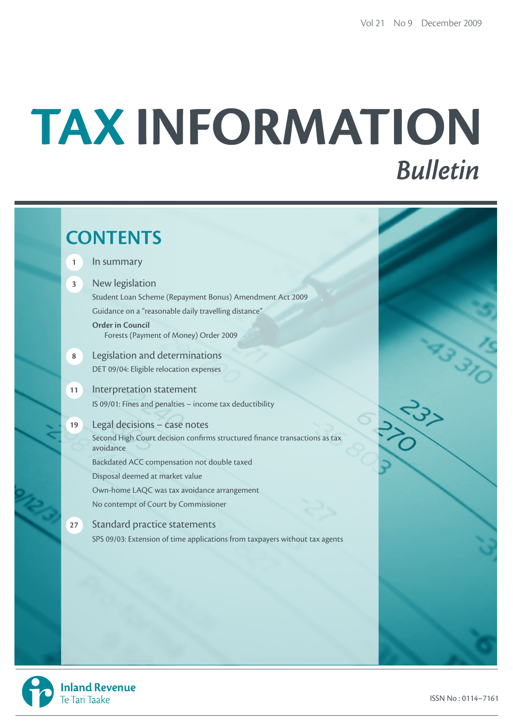# TAX INFORMATION **Bulletin**

# **CONTENTS 1** In summary **3** New legislation Student Loan Scheme (Repayment Bonus) Amendment Act 2009 Guidance on a "reasonable daily travelling distance" **Order in Council** Forests (Payment of Money) Order 2009 **8** Legislation and determinations DET 09/04: Eligible relocation expenses **11** Interpretation statement IS 09/01: Fines and penalties – income tax deductibility **19** Legal decisions – case notes Second High Court decision confirms structured finance transactions as tax avoidance Backdated ACC compensation not double taxed Disposal deemed at market value Own-home LAQC was tax avoidance arrangement No contempt of Court by Commissioner **27** Standard practice statements SPS 09/03: Extension of time applications from taxpayers without tax agents

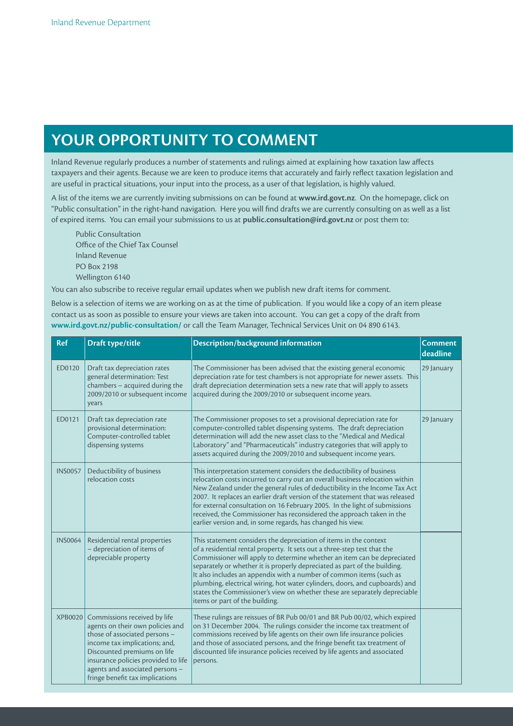# **Your opportunity to comment**

Inland Revenue regularly produces a number of statements and rulings aimed at explaining how taxation law affects taxpayers and their agents. Because we are keen to produce items that accurately and fairly reflect taxation legislation and are useful in practical situations, your input into the process, as a user of that legislation, is highly valued.

A list of the items we are currently inviting submissions on can be found at **www.ird.govt.nz**. On the homepage, click on "Public consultation" in the right-hand navigation. Here you will find drafts we are currently consulting on as well as a list of expired items. You can email your submissions to us at **public.consultation@ird.govt.nz** or post them to:

Public Consultation Office of the Chief Tax Counsel Inland Revenue PO Box 2198 Wellington 6140

You can also subscribe to receive regular email updates when we publish new draft items for comment.

Below is a selection of items we are working on as at the time of publication. If you would like a copy of an item please contact us as soon as possible to ensure your views are taken into account. You can get a copy of the draft from **www.ird.govt.nz/public-consultation/** or call the Team Manager, Technical Services Unit on 04 890 6143.

| <b>Ref</b>     | Draft type/title                                                                                                                                                                                                                                                               | <b>Description/background information</b>                                                                                                                                                                                                                                                                                                                                                                                                                                                                                                                                   | <b>Comment</b><br>deadline |
|----------------|--------------------------------------------------------------------------------------------------------------------------------------------------------------------------------------------------------------------------------------------------------------------------------|-----------------------------------------------------------------------------------------------------------------------------------------------------------------------------------------------------------------------------------------------------------------------------------------------------------------------------------------------------------------------------------------------------------------------------------------------------------------------------------------------------------------------------------------------------------------------------|----------------------------|
| ED0120         | Draft tax depreciation rates<br>general determination: Test<br>chambers - acquired during the<br>2009/2010 or subsequent income<br>years                                                                                                                                       | The Commissioner has been advised that the existing general economic<br>depreciation rate for test chambers is not appropriate for newer assets. This<br>draft depreciation determination sets a new rate that will apply to assets<br>acquired during the 2009/2010 or subsequent income years.                                                                                                                                                                                                                                                                            | 29 January                 |
| ED0121         | Draft tax depreciation rate<br>provisional determination:<br>Computer-controlled tablet<br>dispensing systems                                                                                                                                                                  | The Commissioner proposes to set a provisional depreciation rate for<br>computer-controlled tablet dispensing systems. The draft depreciation<br>determination will add the new asset class to the "Medical and Medical<br>Laboratory" and "Pharmaceuticals" industry categories that will apply to<br>assets acquired during the 2009/2010 and subsequent income years.                                                                                                                                                                                                    | 29 January                 |
| <b>INS0057</b> | Deductibility of business<br>relocation costs                                                                                                                                                                                                                                  | This interpretation statement considers the deductibility of business<br>relocation costs incurred to carry out an overall business relocation within<br>New Zealand under the general rules of deductibility in the Income Tax Act<br>2007. It replaces an earlier draft version of the statement that was released<br>for external consultation on 16 February 2005. In the light of submissions<br>received, the Commissioner has reconsidered the approach taken in the<br>earlier version and, in some regards, has changed his view.                                  |                            |
| <b>INS0064</b> | Residential rental properties<br>- depreciation of items of<br>depreciable property                                                                                                                                                                                            | This statement considers the depreciation of items in the context<br>of a residential rental property. It sets out a three-step test that the<br>Commissioner will apply to determine whether an item can be depreciated<br>separately or whether it is properly depreciated as part of the building.<br>It also includes an appendix with a number of common items (such as<br>plumbing, electrical wiring, hot water cylinders, doors, and cupboards) and<br>states the Commissioner's view on whether these are separately depreciable<br>items or part of the building. |                            |
| <b>XPB0020</b> | Commissions received by life<br>agents on their own policies and<br>those of associated persons -<br>income tax implications; and,<br>Discounted premiums on life<br>insurance policies provided to life<br>agents and associated persons -<br>fringe benefit tax implications | These rulings are reissues of BR Pub 00/01 and BR Pub 00/02, which expired<br>on 31 December 2004. The rulings consider the income tax treatment of<br>commissions received by life agents on their own life insurance policies<br>and those of associated persons, and the fringe benefit tax treatment of<br>discounted life insurance policies received by life agents and associated<br>persons.                                                                                                                                                                        |                            |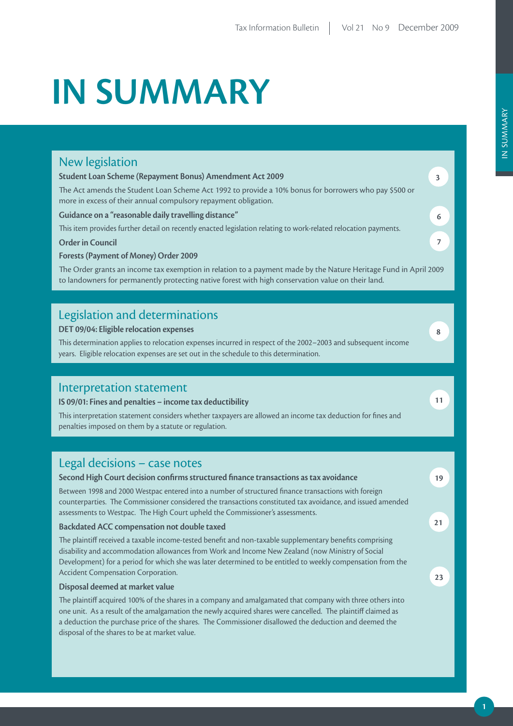# **IN SUMMARY**

# New legislation

#### **Student Loan Scheme (Repayment Bonus) Amendment Act 2009**

The Act amends the Student Loan Scheme Act 1992 to provide a 10% bonus for borrowers who pay \$500 or more in excess of their annual compulsory repayment obligation.

#### **Guidance on a "reasonable daily travelling distance"**

This item provides further detail on recently enacted legislation relating to work-related relocation payments.

#### **Order in Council**

**Forests (Payment of Money) Order 2009**

The Order grants an income tax exemption in relation to a payment made by the Nature Heritage Fund in April 2009 to landowners for permanently protecting native forest with high conservation value on their land.

## Legislation and determinations

#### **DET 09/04: Eligible relocation expenses**

This determination applies to relocation expenses incurred in respect of the 2002–2003 and subsequent income years. Eligible relocation expenses are set out in the schedule to this determination.

### Interpretation statement

#### **IS 09/01: Fines and penalties – income tax deductibility**

This interpretation statement considers whether taxpayers are allowed an income tax deduction for fines and penalties imposed on them by a statute or regulation.

## Legal decisions – case notes

#### **Second High Court decision confirms structured finance transactions as tax avoidance** Between 1998 and 2000 Westpac entered into a number of structured finance transactions with foreign counterparties. The Commissioner considered the transactions constituted tax avoidance, and issued amended assessments to Westpac. The High Court upheld the Commissioner's assessments. **Backdated ACC compensation not double taxed** The plaintiff received a taxable income-tested benefit and non-taxable supplementary benefits comprising disability and accommodation allowances from Work and Income New Zealand (now Ministry of Social Development) for a period for which she was later determined to be entitled to weekly compensation from the Accident Compensation Corporation. **Disposal deemed at market value** The plaintiff acquired 100% of the shares in a company and amalgamated that company with three others into one unit. As a result of the amalgamation the newly acquired shares were cancelled. The plaintiff claimed as a deduction the purchase price of the shares. The Commissioner disallowed the deduction and deemed the disposal of the shares to be at market value. **19 21 23**

**8**

**11**

**3**

**6**

**7**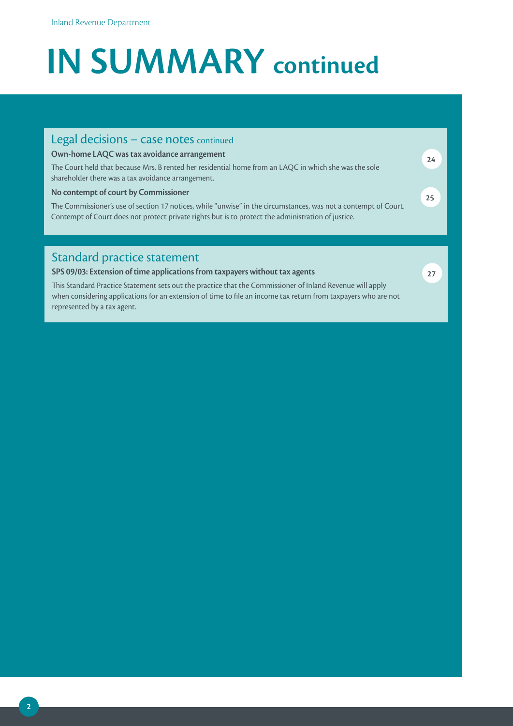# **IN SUMMARY continued**

# Standard practice statement **SPS 09/03: Extension of time applications from taxpayers without tax agents 27** Legal decisions - case notes continued **Own-home LAQC was tax avoidance arrangement** The Court held that because Mrs. B rented her residential home from an LAQC in which she was the sole shareholder there was a tax avoidance arrangement. **No contempt of court by Commissioner** The Commissioner's use of section 17 notices, while "unwise" in the circumstances, was not a contempt of Court. Contempt of Court does not protect private rights but is to protect the administration of justice. **24 25**

This Standard Practice Statement sets out the practice that the Commissioner of Inland Revenue will apply when considering applications for an extension of time to file an income tax return from taxpayers who are not represented by a tax agent.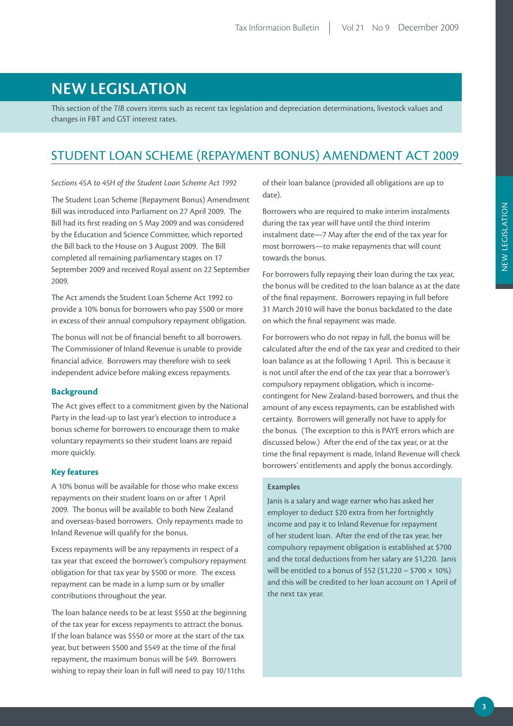# **NEW LEGISLATION**

This section of the *TIB* covers items such as recent tax legislation and depreciation determinations, livestock values and changes in FBT and GST interest rates.

# STUDENT LOAN SCHEME (REPAYMENT BONUS) AMENDMENT ACT 2009

*Sections 45A to 45H of the Student Loan Scheme Act 1992*

The Student Loan Scheme (Repayment Bonus) Amendment Bill was introduced into Parliament on 27 April 2009. The Bill had its first reading on 5 May 2009 and was considered by the Education and Science Committee, which reported the Bill back to the House on 3 August 2009. The Bill completed all remaining parliamentary stages on 17 September 2009 and received Royal assent on 22 September 2009.

The Act amends the Student Loan Scheme Act 1992 to provide a 10% bonus for borrowers who pay \$500 or more in excess of their annual compulsory repayment obligation.

The bonus will not be of financial benefit to all borrowers. The Commissioner of Inland Revenue is unable to provide financial advice. Borrowers may therefore wish to seek independent advice before making excess repayments.

#### **Background**

The Act gives effect to a commitment given by the National Party in the lead-up to last year's election to introduce a bonus scheme for borrowers to encourage them to make voluntary repayments so their student loans are repaid more quickly.

#### **Key features**

A 10% bonus will be available for those who make excess repayments on their student loans on or after 1 April 2009. The bonus will be available to both New Zealand and overseas-based borrowers. Only repayments made to Inland Revenue will qualify for the bonus.

Excess repayments will be any repayments in respect of a tax year that exceed the borrower's compulsory repayment obligation for that tax year by \$500 or more. The excess repayment can be made in a lump sum or by smaller contributions throughout the year.

The loan balance needs to be at least \$550 at the beginning of the tax year for excess repayments to attract the bonus. If the loan balance was \$550 or more at the start of the tax year, but between \$500 and \$549 at the time of the final repayment, the maximum bonus will be \$49. Borrowers wishing to repay their loan in full will need to pay 10/11ths

of their loan balance (provided all obligations are up to date).

Borrowers who are required to make interim instalments during the tax year will have until the third interim instalment date—7 May after the end of the tax year for most borrowers—to make repayments that will count towards the bonus.

For borrowers fully repaying their loan during the tax year, the bonus will be credited to the loan balance as at the date of the final repayment. Borrowers repaying in full before 31 March 2010 will have the bonus backdated to the date on which the final repayment was made.

For borrowers who do not repay in full, the bonus will be calculated after the end of the tax year and credited to their loan balance as at the following 1 April. This is because it is not until after the end of the tax year that a borrower's compulsory repayment obligation, which is incomecontingent for New Zealand-based borrowers, and thus the amount of any excess repayments, can be established with certainty. Borrowers will generally not have to apply for the bonus. (The exception to this is PAYE errors which are discussed below.) After the end of the tax year, or at the time the final repayment is made, Inland Revenue will check borrowers' entitlements and apply the bonus accordingly.

#### **Examples**

Janis is a salary and wage earner who has asked her employer to deduct \$20 extra from her fortnightly income and pay it to Inland Revenue for repayment of her student loan. After the end of the tax year, her compulsory repayment obligation is established at \$700 and the total deductions from her salary are \$1,220. Janis will be entitled to a bonus of \$52 (\$1,220 – \$700  $\times$  10%) and this will be credited to her loan account on 1 April of the next tax year.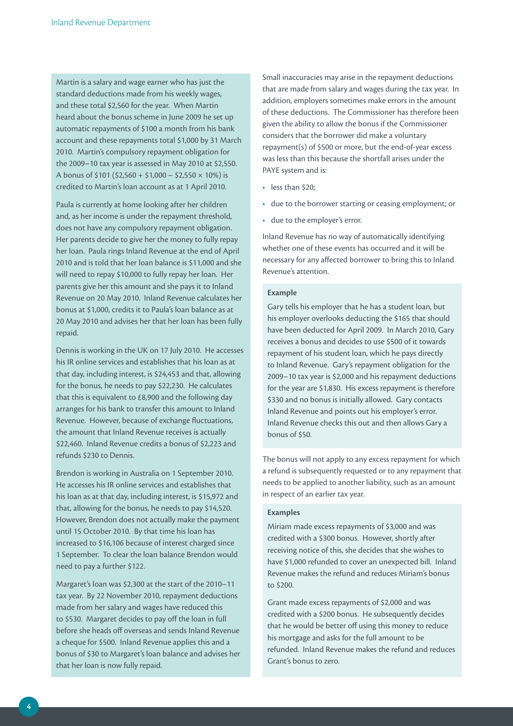Martin is a salary and wage earner who has just the standard deductions made from his weekly wages, and these total \$2,560 for the year. When Martin heard about the bonus scheme in June 2009 he set up automatic repayments of \$100 a month from his bank account and these repayments total \$1,000 by 31 March 2010. Martin's compulsory repayment obligation for the 2009–10 tax year is assessed in May 2010 at \$2,550. A bonus of  $$101 ($2,560 + $1,000 - $2,550 \times 10\%)$  is credited to Martin's loan account as at 1 April 2010.

Paula is currently at home looking after her children and, as her income is under the repayment threshold, does not have any compulsory repayment obligation. Her parents decide to give her the money to fully repay her loan. Paula rings Inland Revenue at the end of April 2010 and is told that her loan balance is \$11,000 and she will need to repay \$10,000 to fully repay her loan. Her parents give her this amount and she pays it to Inland Revenue on 20 May 2010. Inland Revenue calculates her bonus at \$1,000, credits it to Paula's loan balance as at 20 May 2010 and advises her that her loan has been fully repaid.

Dennis is working in the UK on 17 July 2010. He accesses his IR online services and establishes that his loan as at that day, including interest, is \$24,453 and that, allowing for the bonus, he needs to pay \$22,230. He calculates that this is equivalent to £8,900 and the following day arranges for his bank to transfer this amount to Inland Revenue. However, because of exchange fluctuations, the amount that Inland Revenue receives is actually \$22,460. Inland Revenue credits a bonus of \$2,223 and refunds \$230 to Dennis.

Brendon is working in Australia on 1 September 2010. He accesses his IR online services and establishes that his loan as at that day, including interest, is \$15,972 and that, allowing for the bonus, he needs to pay \$14,520. However, Brendon does not actually make the payment until 15 October 2010. By that time his loan has increased to \$16,106 because of interest charged since 1 September. To clear the loan balance Brendon would need to pay a further \$122.

Margaret's loan was \$2,300 at the start of the 2010–11 tax year. By 22 November 2010, repayment deductions made from her salary and wages have reduced this to \$530. Margaret decides to pay off the loan in full before she heads off overseas and sends Inland Revenue a cheque for \$500. Inland Revenue applies this and a bonus of \$30 to Margaret's loan balance and advises her that her loan is now fully repaid.

Small inaccuracies may arise in the repayment deductions that are made from salary and wages during the tax year. In addition, employers sometimes make errors in the amount of these deductions. The Commissioner has therefore been given the ability to allow the bonus if the Commissioner considers that the borrower did make a voluntary repayment(s) of \$500 or more, but the end-of-year excess was less than this because the shortfall arises under the PAYE system and is:

- less than \$20:
- • due to the borrower starting or ceasing employment; or
- due to the employer's error.

Inland Revenue has no way of automatically identifying whether one of these events has occurred and it will be necessary for any affected borrower to bring this to Inland Revenue's attention.

#### **Example**

Gary tells his employer that he has a student loan, but his employer overlooks deducting the \$165 that should have been deducted for April 2009. In March 2010, Gary receives a bonus and decides to use \$500 of it towards repayment of his student loan, which he pays directly to Inland Revenue. Gary's repayment obligation for the 2009–10 tax year is \$2,000 and his repayment deductions for the year are \$1,830. His excess repayment is therefore \$330 and no bonus is initially allowed. Gary contacts Inland Revenue and points out his employer's error. Inland Revenue checks this out and then allows Gary a bonus of \$50.

The bonus will not apply to any excess repayment for which a refund is subsequently requested or to any repayment that needs to be applied to another liability, such as an amount in respect of an earlier tax year.

#### **Examples**

Miriam made excess repayments of \$3,000 and was credited with a \$300 bonus. However, shortly after receiving notice of this, she decides that she wishes to have \$1,000 refunded to cover an unexpected bill. Inland Revenue makes the refund and reduces Miriam's bonus to \$200.

Grant made excess repayments of \$2,000 and was credited with a \$200 bonus. He subsequently decides that he would be better off using this money to reduce his mortgage and asks for the full amount to be refunded. Inland Revenue makes the refund and reduces Grant's bonus to zero.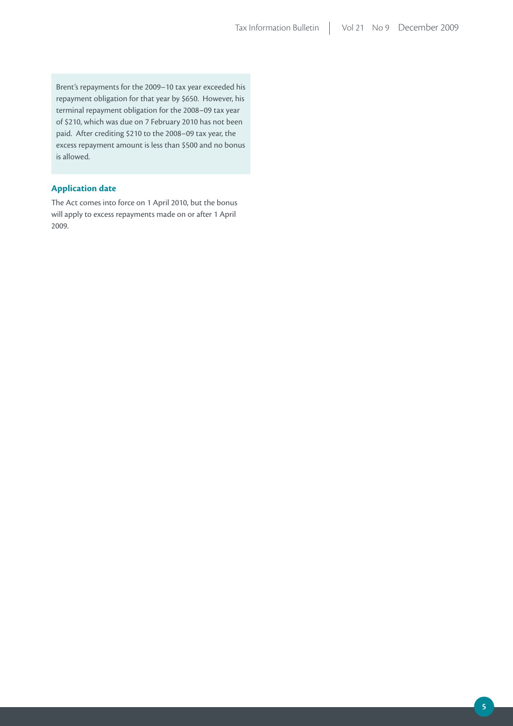Brent's repayments for the 2009–10 tax year exceeded his repayment obligation for that year by \$650. However, his terminal repayment obligation for the 2008–09 tax year of \$210, which was due on 7 February 2010 has not been paid. After crediting \$210 to the 2008–09 tax year, the excess repayment amount is less than \$500 and no bonus is allowed.

#### **Application date**

The Act comes into force on 1 April 2010, but the bonus will apply to excess repayments made on or after 1 April 2009.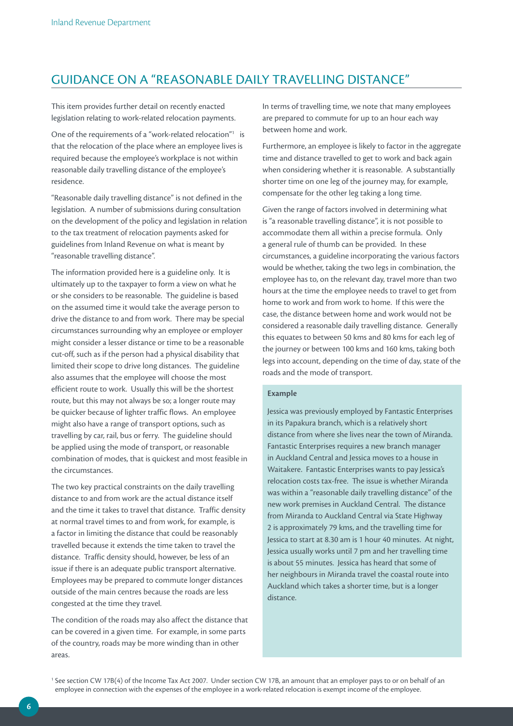# GUIDANCE ON A "REASONABLE DAILY TRAVELLING DISTANCE"

This item provides further detail on recently enacted legislation relating to work-related relocation payments.

One of the requirements of a "work-related relocation"<sup>1</sup> is that the relocation of the place where an employee lives is required because the employee's workplace is not within reasonable daily travelling distance of the employee's residence.

"Reasonable daily travelling distance" is not defined in the legislation. A number of submissions during consultation on the development of the policy and legislation in relation to the tax treatment of relocation payments asked for guidelines from Inland Revenue on what is meant by "reasonable travelling distance".

The information provided here is a guideline only. It is ultimately up to the taxpayer to form a view on what he or she considers to be reasonable. The guideline is based on the assumed time it would take the average person to drive the distance to and from work. There may be special circumstances surrounding why an employee or employer might consider a lesser distance or time to be a reasonable cut-off, such as if the person had a physical disability that limited their scope to drive long distances. The guideline also assumes that the employee will choose the most efficient route to work. Usually this will be the shortest route, but this may not always be so; a longer route may be quicker because of lighter traffic flows. An employee might also have a range of transport options, such as travelling by car, rail, bus or ferry. The guideline should be applied using the mode of transport, or reasonable combination of modes, that is quickest and most feasible in the circumstances.

The two key practical constraints on the daily travelling distance to and from work are the actual distance itself and the time it takes to travel that distance. Traffic density at normal travel times to and from work, for example, is a factor in limiting the distance that could be reasonably travelled because it extends the time taken to travel the distance. Traffic density should, however, be less of an issue if there is an adequate public transport alternative. Employees may be prepared to commute longer distances outside of the main centres because the roads are less congested at the time they travel.

The condition of the roads may also affect the distance that can be covered in a given time. For example, in some parts of the country, roads may be more winding than in other areas.

In terms of travelling time, we note that many employees are prepared to commute for up to an hour each way between home and work.

Furthermore, an employee is likely to factor in the aggregate time and distance travelled to get to work and back again when considering whether it is reasonable. A substantially shorter time on one leg of the journey may, for example, compensate for the other leg taking a long time.

Given the range of factors involved in determining what is "a reasonable travelling distance", it is not possible to accommodate them all within a precise formula. Only a general rule of thumb can be provided. In these circumstances, a guideline incorporating the various factors would be whether, taking the two legs in combination, the employee has to, on the relevant day, travel more than two hours at the time the employee needs to travel to get from home to work and from work to home. If this were the case, the distance between home and work would not be considered a reasonable daily travelling distance. Generally this equates to between 50 kms and 80 kms for each leg of the journey or between 100 kms and 160 kms, taking both legs into account, depending on the time of day, state of the roads and the mode of transport.

#### **Example**

Jessica was previously employed by Fantastic Enterprises in its Papakura branch, which is a relatively short distance from where she lives near the town of Miranda. Fantastic Enterprises requires a new branch manager in Auckland Central and Jessica moves to a house in Waitakere. Fantastic Enterprises wants to pay Jessica's relocation costs tax-free. The issue is whether Miranda was within a "reasonable daily travelling distance" of the new work premises in Auckland Central. The distance from Miranda to Auckland Central via State Highway 2 is approximately 79 kms, and the travelling time for Jessica to start at 8.30 am is 1 hour 40 minutes. At night, Jessica usually works until 7 pm and her travelling time is about 55 minutes. Jessica has heard that some of her neighbours in Miranda travel the coastal route into Auckland which takes a shorter time, but is a longer distance.

<sup>1</sup> See section CW 17B(4) of the Income Tax Act 2007. Under section CW 17B, an amount that an employer pays to or on behalf of an employee in connection with the expenses of the employee in a work-related relocation is exempt income of the employee.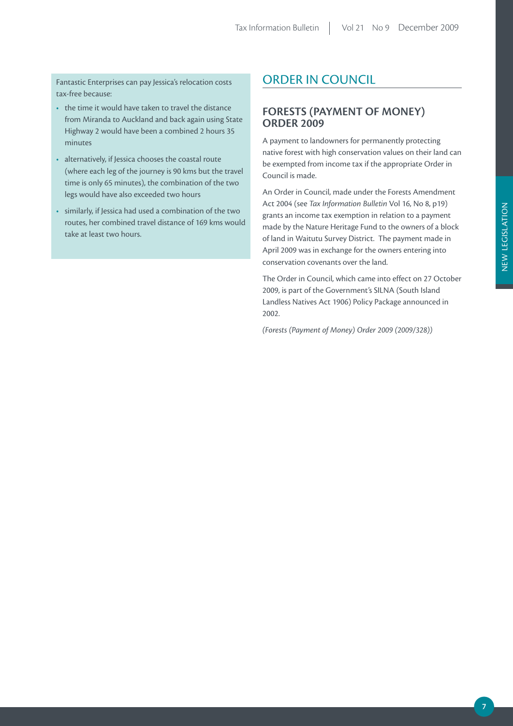Fantastic Enterprises can pay Jessica's relocation costs tax-free because:

- the time it would have taken to travel the distance from Miranda to Auckland and back again using State Highway 2 would have been a combined 2 hours 35 minutes
- alternatively, if Jessica chooses the coastal route (where each leg of the journey is 90 kms but the travel time is only 65 minutes), the combination of the two legs would have also exceeded two hours
- • similarly, if Jessica had used a combination of the two routes, her combined travel distance of 169 kms would take at least two hours.

# ORDER IN COUNCIL

### **FORESTS (PAYMENT OF MONEY) ORDER 2009**

A payment to landowners for permanently protecting native forest with high conservation values on their land can be exempted from income tax if the appropriate Order in Council is made.

An Order in Council, made under the Forests Amendment Act 2004 (see *Tax Information Bulletin* Vol 16, No 8, p19) grants an income tax exemption in relation to a payment made by the Nature Heritage Fund to the owners of a block of land in Waitutu Survey District. The payment made in April 2009 was in exchange for the owners entering into conservation covenants over the land.

The Order in Council, which came into effect on 27 October 2009, is part of the Government's SILNA (South Island Landless Natives Act 1906) Policy Package announced in 2002.

*(Forests (Payment of Money) Order 2009 (2009/328))*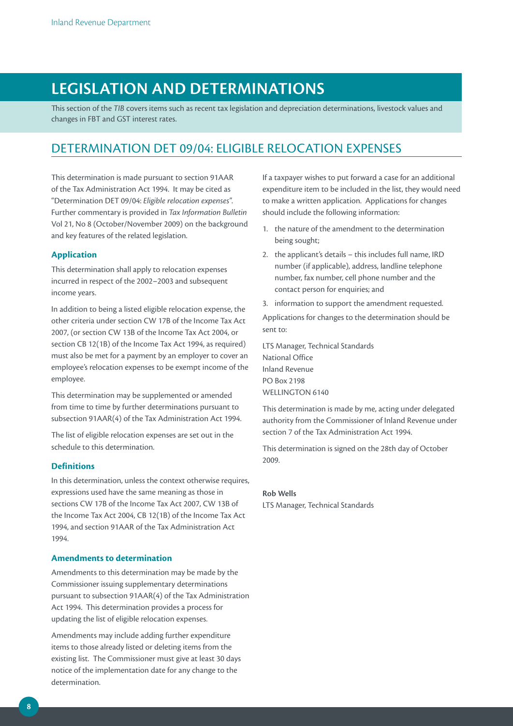# **LEGISLATION AND DETERMINATIONS**

This section of the *TIB* covers items such as recent tax legislation and depreciation determinations, livestock values and changes in FBT and GST interest rates.

# DETERMINATION DET 09/04: ELIGIBLE RELOCATION EXPENSES

This determination is made pursuant to section 91AAR of the Tax Administration Act 1994. It may be cited as "Determination DET 09/04: *Eligible relocation expenses*". Further commentary is provided in *Tax Information Bulletin* Vol 21, No 8 (October/November 2009) on the background and key features of the related legislation.

#### **Application**

This determination shall apply to relocation expenses incurred in respect of the 2002–2003 and subsequent income years.

In addition to being a listed eligible relocation expense, the other criteria under section CW 17B of the Income Tax Act 2007, (or section CW 13B of the Income Tax Act 2004, or section CB 12(1B) of the Income Tax Act 1994, as required) must also be met for a payment by an employer to cover an employee's relocation expenses to be exempt income of the employee.

This determination may be supplemented or amended from time to time by further determinations pursuant to subsection 91AAR(4) of the Tax Administration Act 1994.

The list of eligible relocation expenses are set out in the schedule to this determination.

#### **Definitions**

In this determination, unless the context otherwise requires, expressions used have the same meaning as those in sections CW 17B of the Income Tax Act 2007, CW 13B of the Income Tax Act 2004, CB 12(1B) of the Income Tax Act 1994, and section 91AAR of the Tax Administration Act 1994.

#### **Amendments to determination**

Amendments to this determination may be made by the Commissioner issuing supplementary determinations pursuant to subsection 91AAR(4) of the Tax Administration Act 1994. This determination provides a process for updating the list of eligible relocation expenses.

Amendments may include adding further expenditure items to those already listed or deleting items from the existing list. The Commissioner must give at least 30 days notice of the implementation date for any change to the determination.

If a taxpayer wishes to put forward a case for an additional expenditure item to be included in the list, they would need to make a written application. Applications for changes should include the following information:

- 1. the nature of the amendment to the determination being sought;
- 2. the applicant's details this includes full name, IRD number (if applicable), address, landline telephone number, fax number, cell phone number and the contact person for enquiries; and
- 3. information to support the amendment requested.

Applications for changes to the determination should be sent to:

LTS Manager, Technical Standards National Office Inland Revenue PO Box 2198 WELLINGTON 6140

This determination is made by me, acting under delegated authority from the Commissioner of Inland Revenue under section 7 of the Tax Administration Act 1994.

This determination is signed on the 28th day of October 2009.

#### **Rob Wells**

LTS Manager, Technical Standards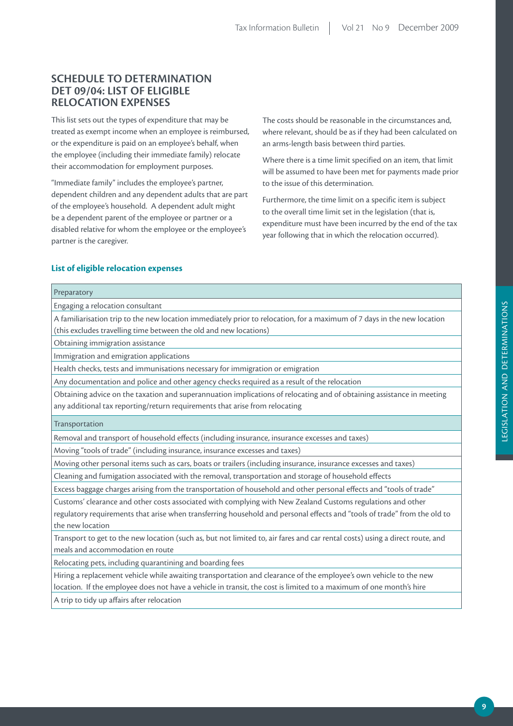## **SCHEDULE TO DETERMINATION DET 09/04: LIST OF ELIGIBLE RELOCATION EXPENSES**

This list sets out the types of expenditure that may be treated as exempt income when an employee is reimbursed, or the expenditure is paid on an employee's behalf, when the employee (including their immediate family) relocate their accommodation for employment purposes.

"Immediate family" includes the employee's partner, dependent children and any dependent adults that are part of the employee's household. A dependent adult might be a dependent parent of the employee or partner or a disabled relative for whom the employee or the employee's partner is the caregiver.

The costs should be reasonable in the circumstances and, where relevant, should be as if they had been calculated on an arms-length basis between third parties.

Where there is a time limit specified on an item, that limit will be assumed to have been met for payments made prior to the issue of this determination.

Furthermore, the time limit on a specific item is subject to the overall time limit set in the legislation (that is, expenditure must have been incurred by the end of the tax year following that in which the relocation occurred).

#### **List of eligible relocation expenses**

# Preparatory

Engaging a relocation consultant

A familiarisation trip to the new location immediately prior to relocation, for a maximum of 7 days in the new location (this excludes travelling time between the old and new locations)

Obtaining immigration assistance

Immigration and emigration applications

Health checks, tests and immunisations necessary for immigration or emigration

Any documentation and police and other agency checks required as a result of the relocation

Obtaining advice on the taxation and superannuation implications of relocating and of obtaining assistance in meeting any additional tax reporting/return requirements that arise from relocating

Transportation

Removal and transport of household effects (including insurance, insurance excesses and taxes)

Moving "tools of trade" (including insurance, insurance excesses and taxes)

Moving other personal items such as cars, boats or trailers (including insurance, insurance excesses and taxes)

Cleaning and fumigation associated with the removal, transportation and storage of household effects

Excess baggage charges arising from the transportation of household and other personal effects and "tools of trade"

Customs' clearance and other costs associated with complying with New Zealand Customs regulations and other regulatory requirements that arise when transferring household and personal effects and "tools of trade" from the old to the new location

Transport to get to the new location (such as, but not limited to, air fares and car rental costs) using a direct route, and meals and accommodation en route

Relocating pets, including quarantining and boarding fees

Hiring a replacement vehicle while awaiting transportation and clearance of the employee's own vehicle to the new location. If the employee does not have a vehicle in transit, the cost is limited to a maximum of one month's hire

A trip to tidy up affairs after relocation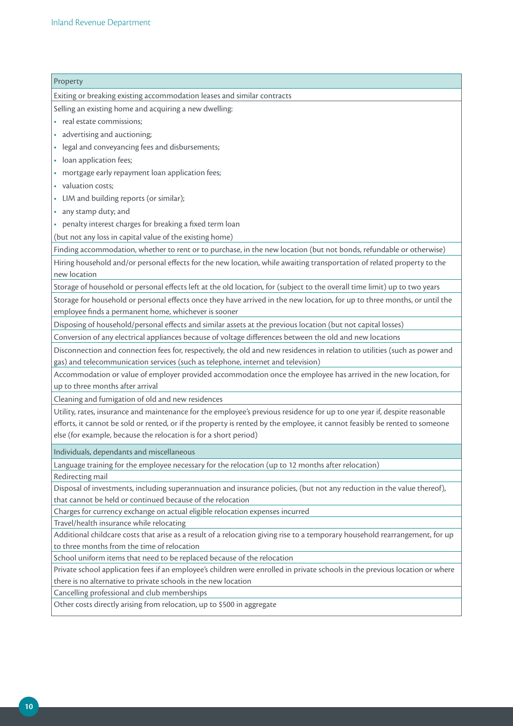# Property Exiting or breaking existing accommodation leases and similar contracts Selling an existing home and acquiring a new dwelling: • real estate commissions: • advertising and auctioning; • legal and conveyancing fees and disbursements; • loan application fees; • mortgage early repayment loan application fees; • valuation costs: • LIM and building reports (or similar); • any stamp duty; and • penalty interest charges for breaking a fixed term loan (but not any loss in capital value of the existing home) Finding accommodation, whether to rent or to purchase, in the new location (but not bonds, refundable or otherwise) Hiring household and/or personal effects for the new location, while awaiting transportation of related property to the new location Storage of household or personal effects left at the old location, for (subject to the overall time limit) up to two years Storage for household or personal effects once they have arrived in the new location, for up to three months, or until the employee finds a permanent home, whichever is sooner Disposing of household/personal effects and similar assets at the previous location (but not capital losses) Conversion of any electrical appliances because of voltage differences between the old and new locations Disconnection and connection fees for, respectively, the old and new residences in relation to utilities (such as power and gas) and telecommunication services (such as telephone, internet and television) Accommodation or value of employer provided accommodation once the employee has arrived in the new location, for up to three months after arrival Cleaning and fumigation of old and new residences Utility, rates, insurance and maintenance for the employee's previous residence for up to one year if, despite reasonable efforts, it cannot be sold or rented, or if the property is rented by the employee, it cannot feasibly be rented to someone else (for example, because the relocation is for a short period) Individuals, dependants and miscellaneous Language training for the employee necessary for the relocation (up to 12 months after relocation) Redirecting mail Disposal of investments, including superannuation and insurance policies, (but not any reduction in the value thereof), that cannot be held or continued because of the relocation Charges for currency exchange on actual eligible relocation expenses incurred Travel/health insurance while relocating Additional childcare costs that arise as a result of a relocation giving rise to a temporary household rearrangement, for up to three months from the time of relocation School uniform items that need to be replaced because of the relocation Private school application fees if an employee's children were enrolled in private schools in the previous location or where there is no alternative to private schools in the new location Cancelling professional and club memberships Other costs directly arising from relocation, up to \$500 in aggregate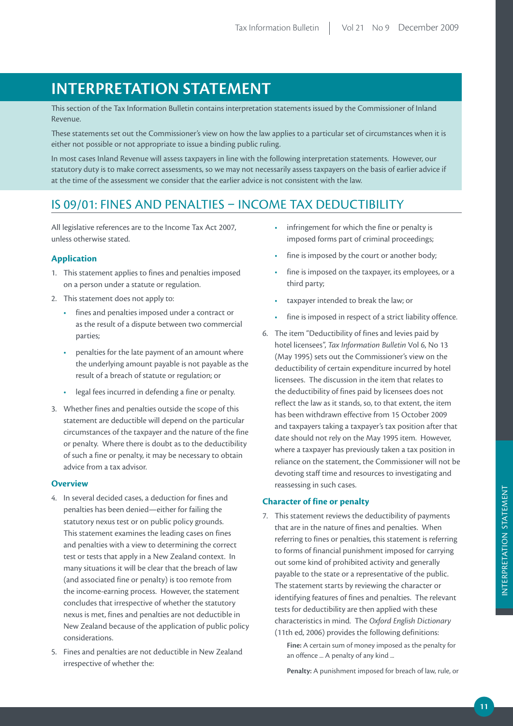# **INTERPRETATION STATEMENT**

This section of the Tax Information Bulletin contains interpretation statements issued by the Commissioner of Inland Revenue.

These statements set out the Commissioner's view on how the law applies to a particular set of circumstances when it is either not possible or not appropriate to issue a binding public ruling.

In most cases Inland Revenue will assess taxpayers in line with the following interpretation statements. However, our statutory duty is to make correct assessments, so we may not necessarily assess taxpayers on the basis of earlier advice if at the time of the assessment we consider that the earlier advice is not consistent with the law.

# IS 09/01: FINES AND PENALTIES – INCOME TAX DEDUCTIBILITY

All legislative references are to the Income Tax Act 2007, unless otherwise stated.

#### **Application**

- 1. This statement applies to fines and penalties imposed on a person under a statute or regulation.
- 2. This statement does not apply to:
	- • fines and penalties imposed under a contract or as the result of a dispute between two commercial parties;
	- penalties for the late payment of an amount where the underlying amount payable is not payable as the result of a breach of statute or regulation; or
	- legal fees incurred in defending a fine or penalty.
- 3. Whether fines and penalties outside the scope of this statement are deductible will depend on the particular circumstances of the taxpayer and the nature of the fine or penalty. Where there is doubt as to the deductibility of such a fine or penalty, it may be necessary to obtain advice from a tax advisor.

#### **Overview**

- 4. In several decided cases, a deduction for fines and penalties has been denied—either for failing the statutory nexus test or on public policy grounds. This statement examines the leading cases on fines and penalties with a view to determining the correct test or tests that apply in a New Zealand context. In many situations it will be clear that the breach of law (and associated fine or penalty) is too remote from the income-earning process. However, the statement concludes that irrespective of whether the statutory nexus is met, fines and penalties are not deductible in New Zealand because of the application of public policy considerations.
- 5. Fines and penalties are not deductible in New Zealand irrespective of whether the:
- infringement for which the fine or penalty is imposed forms part of criminal proceedings;
- fine is imposed by the court or another body;
- fine is imposed on the taxpayer, its employees, or a third party;
- taxpayer intended to break the law; or
- fine is imposed in respect of a strict liability offence.
- 6. The item "Deductibility of fines and levies paid by hotel licensees", *Tax Information Bulletin* Vol 6, No 13 (May 1995) sets out the Commissioner's view on the deductibility of certain expenditure incurred by hotel licensees. The discussion in the item that relates to the deductibility of fines paid by licensees does not reflect the law as it stands, so, to that extent, the item has been withdrawn effective from 15 October 2009 and taxpayers taking a taxpayer's tax position after that date should not rely on the May 1995 item. However, where a taxpayer has previously taken a tax position in reliance on the statement, the Commissioner will not be devoting staff time and resources to investigating and reassessing in such cases.

#### **Character of fine or penalty**

- 7. This statement reviews the deductibility of payments that are in the nature of fines and penalties. When referring to fines or penalties, this statement is referring to forms of financial punishment imposed for carrying out some kind of prohibited activity and generally payable to the state or a representative of the public. The statement starts by reviewing the character or identifying features of fines and penalties. The relevant tests for deductibility are then applied with these characteristics in mind. The *Oxford English Dictionary* (11th ed, 2006) provides the following definitions:
	- **Fine:** A certain sum of money imposed as the penalty for an offence ... A penalty of any kind ...

**Penalty:** A punishment imposed for breach of law, rule, or

INTERPRETATION STATEMENT

INTERPRETATION STATEMENT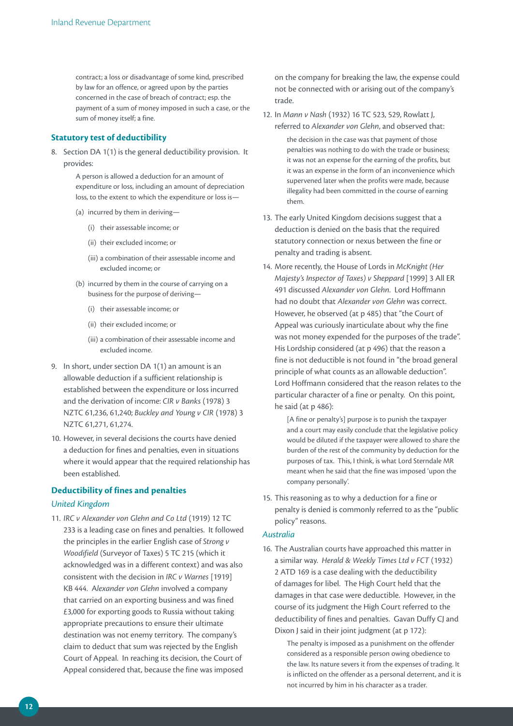contract; a loss or disadvantage of some kind, prescribed by law for an offence, or agreed upon by the parties concerned in the case of breach of contract; esp. the payment of a sum of money imposed in such a case, or the sum of money itself; a fine.

#### **Statutory test of deductibility**

8. Section DA 1(1) is the general deductibility provision. It provides:

> A person is allowed a deduction for an amount of expenditure or loss, including an amount of depreciation loss, to the extent to which the expenditure or loss is—

- (a) incurred by them in deriving—
	- (i) their assessable income; or
	- (ii) their excluded income; or
	- (iii) a combination of their assessable income and excluded income; or
- (b) incurred by them in the course of carrying on a business for the purpose of deriving—
	- (i) their assessable income; or
	- (ii) their excluded income; or
	- (iii) a combination of their assessable income and excluded income.
- 9. In short, under section DA 1(1) an amount is an allowable deduction if a sufficient relationship is established between the expenditure or loss incurred and the derivation of income: *CIR v Banks* (1978) 3 NZTC 61,236, 61,240; *Buckley and Young v CIR* (1978) 3 NZTC 61,271, 61,274.
- 10. However, in several decisions the courts have denied a deduction for fines and penalties, even in situations where it would appear that the required relationship has been established.

#### **Deductibility of fines and penalties**

#### *United Kingdom*

11. *IRC v Alexander von Glehn and Co Ltd* (1919) 12 TC 233 is a leading case on fines and penalties. It followed the principles in the earlier English case of *Strong v Woodifield* (Surveyor of Taxes) 5 TC 215 (which it acknowledged was in a different context) and was also consistent with the decision in *IRC v Warnes* [1919] KB 444. A*lexander von Glehn* involved a company that carried on an exporting business and was fined £3,000 for exporting goods to Russia without taking appropriate precautions to ensure their ultimate destination was not enemy territory. The company's claim to deduct that sum was rejected by the English Court of Appeal. In reaching its decision, the Court of Appeal considered that, because the fine was imposed

on the company for breaking the law, the expense could not be connected with or arising out of the company's trade.

12. In *Mann v Nash* (1932) 16 TC 523, 529, Rowlatt J, referred to *Alexander von Glehn*, and observed that: the decision in the case was that payment of those penalties was nothing to do with the trade or business; it was not an expense for the earning of the profits, but it was an expense in the form of an inconvenience which supervened later when the profits were made, because

illegality had been committed in the course of earning

13. The early United Kingdom decisions suggest that a deduction is denied on the basis that the required statutory connection or nexus between the fine or penalty and trading is absent.

them.

14. More recently, the House of Lords in *McKnight (Her Majesty's Inspector of Taxes) v Sheppard* [1999] 3 All ER 491 discussed *Alexander von Glehn*. Lord Hoffmann had no doubt that *Alexander von Glehn* was correct. However, he observed (at p 485) that "the Court of Appeal was curiously inarticulate about why the fine was not money expended for the purposes of the trade". His Lordship considered (at p 496) that the reason a fine is not deductible is not found in "the broad general principle of what counts as an allowable deduction". Lord Hoffmann considered that the reason relates to the particular character of a fine or penalty. On this point, he said (at p 486):

> [A fine or penalty's] purpose is to punish the taxpayer and a court may easily conclude that the legislative policy would be diluted if the taxpayer were allowed to share the burden of the rest of the community by deduction for the purposes of tax. This, I think, is what Lord Sterndale MR meant when he said that the fine was imposed 'upon the company personally'.

15. This reasoning as to why a deduction for a fine or penalty is denied is commonly referred to as the "public policy" reasons.

#### *Australia*

16. The Australian courts have approached this matter in a similar way. *Herald & Weekly Times Ltd v FCT* (1932) 2 ATD 169 is a case dealing with the deductibility of damages for libel. The High Court held that the damages in that case were deductible. However, in the course of its judgment the High Court referred to the deductibility of fines and penalties. Gavan Duffy CJ and Dixon J said in their joint judgment (at p 172):

> The penalty is imposed as a punishment on the offender considered as a responsible person owing obedience to the law. Its nature severs it from the expenses of trading. It is inflicted on the offender as a personal deterrent, and it is not incurred by him in his character as a trader.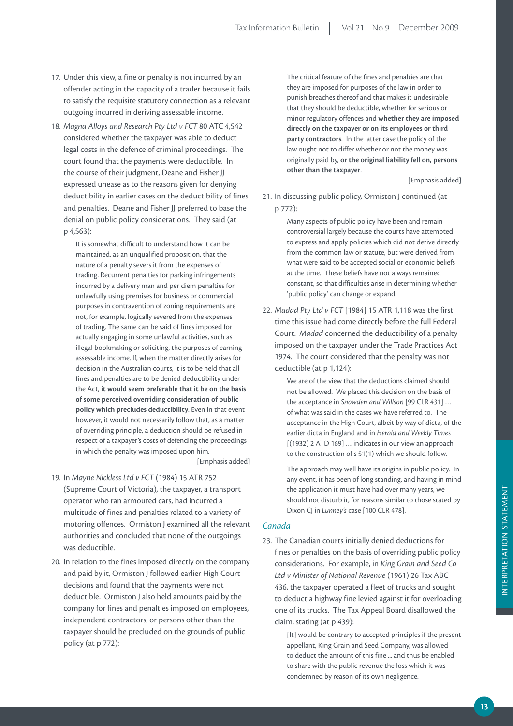- 17. Under this view, a fine or penalty is not incurred by an offender acting in the capacity of a trader because it fails to satisfy the requisite statutory connection as a relevant outgoing incurred in deriving assessable income.
- 18. *Magna Alloys and Research Pty Ltd v FCT* 80 ATC 4,542 considered whether the taxpayer was able to deduct legal costs in the defence of criminal proceedings. The court found that the payments were deductible. In the course of their judgment, Deane and Fisher JJ expressed unease as to the reasons given for denying deductibility in earlier cases on the deductibility of fines and penalties. Deane and Fisher JJ preferred to base the denial on public policy considerations. They said (at p 4,563):

It is somewhat difficult to understand how it can be maintained, as an unqualified proposition, that the nature of a penalty severs it from the expenses of trading. Recurrent penalties for parking infringements incurred by a delivery man and per diem penalties for unlawfully using premises for business or commercial purposes in contravention of zoning requirements are not, for example, logically severed from the expenses of trading. The same can be said of fines imposed for actually engaging in some unlawful activities, such as illegal bookmaking or soliciting, the purposes of earning assessable income. If, when the matter directly arises for decision in the Australian courts, it is to be held that all fines and penalties are to be denied deductibility under the Act, **it would seem preferable that it be on the basis of some perceived overriding consideration of public policy which precludes deductibility**. Even in that event however, it would not necessarily follow that, as a matter of overriding principle, a deduction should be refused in respect of a taxpayer's costs of defending the proceedings in which the penalty was imposed upon him.

[Emphasis added]

- 19. In *Mayne Nickless Ltd v FCT* (1984) 15 ATR 752 (Supreme Court of Victoria), the taxpayer, a transport operator who ran armoured cars, had incurred a multitude of fines and penalties related to a variety of motoring offences. Ormiston J examined all the relevant authorities and concluded that none of the outgoings was deductible.
- 20. In relation to the fines imposed directly on the company and paid by it, Ormiston J followed earlier High Court decisions and found that the payments were not deductible. Ormiston J also held amounts paid by the company for fines and penalties imposed on employees, independent contractors, or persons other than the taxpayer should be precluded on the grounds of public policy (at p 772):

The critical feature of the fines and penalties are that they are imposed for purposes of the law in order to punish breaches thereof and that makes it undesirable that they should be deductible, whether for serious or minor regulatory offences and **whether they are imposed directly on the taxpayer or on its employees or third party contractors**. In the latter case the policy of the law ought not to differ whether or not the money was originally paid by, **or the original liability fell on, persons other than the taxpayer**.

[Emphasis added]

21. In discussing public policy, Ormiston J continued (at p 772):

> Many aspects of public policy have been and remain controversial largely because the courts have attempted to express and apply policies which did not derive directly from the common law or statute, but were derived from what were said to be accepted social or economic beliefs at the time. These beliefs have not always remained constant, so that difficulties arise in determining whether 'public policy' can change or expand.

22. *Madad Pty Ltd v FCT* [1984] 15 ATR 1,118 was the first time this issue had come directly before the full Federal Court. *Madad* concerned the deductibility of a penalty imposed on the taxpayer under the Trade Practices Act 1974. The court considered that the penalty was not deductible (at p 1,124):

> We are of the view that the deductions claimed should not be allowed. We placed this decision on the basis of the acceptance in *Snowden and Willson* [99 CLR 431] … of what was said in the cases we have referred to. The acceptance in the High Court, albeit by way of dicta, of the earlier dicta in England and in *Herald and Weekly Times* [(1932) 2 ATD 169] … indicates in our view an approach to the construction of s 51(1) which we should follow.

> The approach may well have its origins in public policy. In any event, it has been of long standing, and having in mind the application it must have had over many years, we should not disturb it, for reasons similar to those stated by Dixon CJ in *Lunney's* case [100 CLR 478].

#### *Canada*

23. The Canadian courts initially denied deductions for fines or penalties on the basis of overriding public policy considerations. For example, in *King Grain and Seed Co Ltd v Minister of National Revenue* (1961) 26 Tax ABC 436, the taxpayer operated a fleet of trucks and sought to deduct a highway fine levied against it for overloading one of its trucks. The Tax Appeal Board disallowed the claim, stating (at p 439):

> [It] would be contrary to accepted principles if the present appellant, King Grain and Seed Company, was allowed to deduct the amount of this fine ... and thus be enabled to share with the public revenue the loss which it was condemned by reason of its own negligence.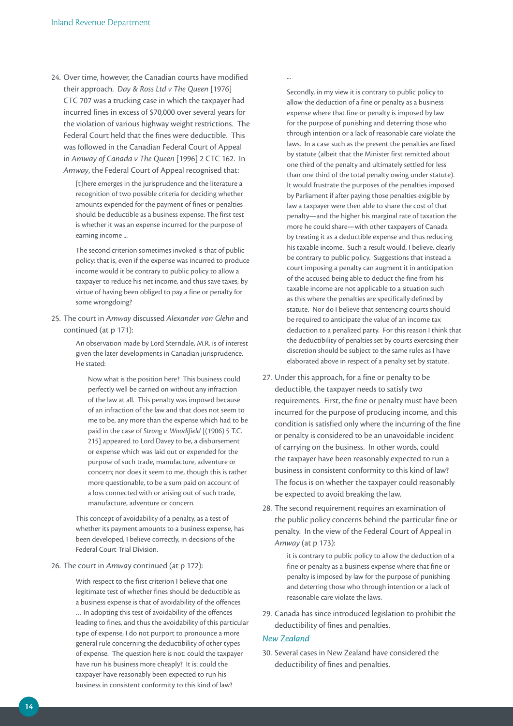24. Over time, however, the Canadian courts have modified their approach. *Day & Ross Ltd v The Queen* [1976] CTC 707 was a trucking case in which the taxpayer had incurred fines in excess of \$70,000 over several years for the violation of various highway weight restrictions. The Federal Court held that the fines were deductible. This was followed in the Canadian Federal Court of Appeal in *Amway of Canada v The Queen* [1996] 2 CTC 162. In *Amway*, the Federal Court of Appeal recognised that:

> [t]here emerges in the jurisprudence and the literature a recognition of two possible criteria for deciding whether amounts expended for the payment of fines or penalties should be deductible as a business expense. The first test is whether it was an expense incurred for the purpose of earning income ...

The second criterion sometimes invoked is that of public policy: that is, even if the expense was incurred to produce income would it be contrary to public policy to allow a taxpayer to reduce his net income, and thus save taxes, by virtue of having been obliged to pay a fine or penalty for some wrongdoing?

25. The court in *Amway* discussed *Alexander von Glehn* and continued (at p 171):

> An observation made by Lord Sterndale, M.R. is of interest given the later developments in Canadian jurisprudence. He stated:

 Now what is the position here? This business could perfectly well be carried on without any infraction of the law at all. This penalty was imposed because of an infraction of the law and that does not seem to me to be, any more than the expense which had to be paid in the case of *Strong v. Woodifield* [(1906) 5 T.C. 215] appeared to Lord Davey to be, a disbursement or expense which was laid out or expended for the purpose of such trade, manufacture, adventure or concern; nor does it seem to me, though this is rather more questionable, to be a sum paid on account of a loss connected with or arising out of such trade, manufacture, adventure or concern.

This concept of avoidability of a penalty, as a test of whether its payment amounts to a business expense, has been developed, I believe correctly, in decisions of the Federal Court Trial Division.

#### 26. The court in *Amwa*y continued (at p 172):

With respect to the first criterion I believe that one legitimate test of whether fines should be deductible as a business expense is that of avoidability of the offences … In adopting this test of avoidability of the offences leading to fines, and thus the avoidability of this particular type of expense, I do not purport to pronounce a more general rule concerning the deductibility of other types of expense. The question here is not: could the taxpayer have run his business more cheaply? It is: could the taxpayer have reasonably been expected to run his business in consistent conformity to this kind of law?

...

Secondly, in my view it is contrary to public policy to allow the deduction of a fine or penalty as a business expense where that fine or penalty is imposed by law for the purpose of punishing and deterring those who through intention or a lack of reasonable care violate the laws. In a case such as the present the penalties are fixed by statute (albeit that the Minister first remitted about one third of the penalty and ultimately settled for less than one third of the total penalty owing under statute). It would frustrate the purposes of the penalties imposed by Parliament if after paying those penalties exigible by law a taxpayer were then able to share the cost of that penalty—and the higher his marginal rate of taxation the more he could share—with other taxpayers of Canada by treating it as a deductible expense and thus reducing his taxable income. Such a result would, I believe, clearly be contrary to public policy. Suggestions that instead a court imposing a penalty can augment it in anticipation of the accused being able to deduct the fine from his taxable income are not applicable to a situation such as this where the penalties are specifically defined by statute. Nor do I believe that sentencing courts should be required to anticipate the value of an income tax deduction to a penalized party. For this reason I think that the deductibility of penalties set by courts exercising their discretion should be subject to the same rules as I have elaborated above in respect of a penalty set by statute.

- 27. Under this approach, for a fine or penalty to be deductible, the taxpayer needs to satisfy two requirements. First, the fine or penalty must have been incurred for the purpose of producing income, and this condition is satisfied only where the incurring of the fine or penalty is considered to be an unavoidable incident of carrying on the business. In other words, could the taxpayer have been reasonably expected to run a business in consistent conformity to this kind of law? The focus is on whether the taxpayer could reasonably be expected to avoid breaking the law.
- 28. The second requirement requires an examination of the public policy concerns behind the particular fine or penalty. In the view of the Federal Court of Appeal in *Amway* (at p 173):

it is contrary to public policy to allow the deduction of a fine or penalty as a business expense where that fine or penalty is imposed by law for the purpose of punishing and deterring those who through intention or a lack of reasonable care violate the laws.

29. Canada has since introduced legislation to prohibit the deductibility of fines and penalties.

#### *New Zealand*

30. Several cases in New Zealand have considered the deductibility of fines and penalties.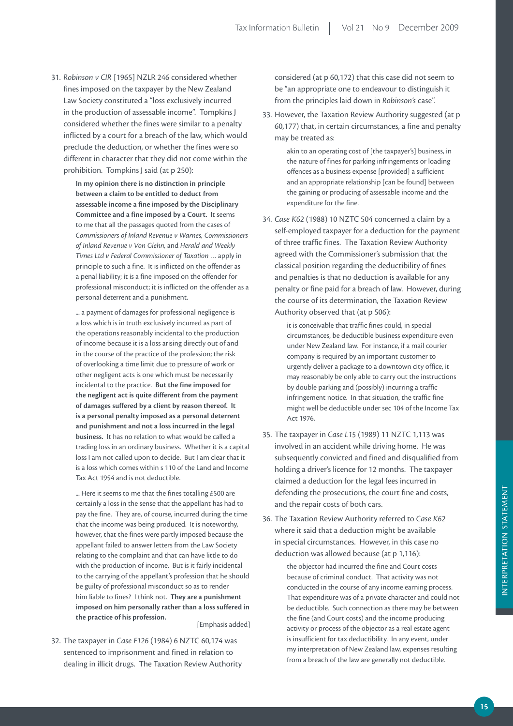31. *Robinson v CIR* [1965] NZLR 246 considered whether fines imposed on the taxpayer by the New Zealand Law Society constituted a "loss exclusively incurred in the production of assessable income". Tompkins J considered whether the fines were similar to a penalty inflicted by a court for a breach of the law, which would preclude the deduction, or whether the fines were so different in character that they did not come within the prohibition. Tompkins J said (at p 250):

> **In my opinion there is no distinction in principle between a claim to be entitled to deduct from assessable income a fine imposed by the Disciplinary Committee and a fine imposed by a Court.** It seems to me that all the passages quoted from the cases of *Commissioners of Inland Revenue v Warnes, Commissioners of Inland Revenue v Von Glehn,* and *Herald and Weekly Times Ltd v Federal Commissioner of Taxation* … apply in principle to such a fine. It is inflicted on the offender as a penal liability; it is a fine imposed on the offender for professional misconduct; it is inflicted on the offender as a personal deterrent and a punishment.

> ... a payment of damages for professional negligence is a loss which is in truth exclusively incurred as part of the operations reasonably incidental to the production of income because it is a loss arising directly out of and in the course of the practice of the profession; the risk of overlooking a time limit due to pressure of work or other negligent acts is one which must be necessarily incidental to the practice. **But the fine imposed for the negligent act is quite different from the payment of damages suffered by a client by reason thereof. It is a personal penalty imposed as a personal deterrent and punishment and not a loss incurred in the legal business.** It has no relation to what would be called a trading loss in an ordinary business. Whether it is a capital loss I am not called upon to decide. But I am clear that it is a loss which comes within s 110 of the Land and Income Tax Act 1954 and is not deductible.

> ... Here it seems to me that the fines totalling £500 are certainly a loss in the sense that the appellant has had to pay the fine. They are, of course, incurred during the time that the income was being produced. It is noteworthy, however, that the fines were partly imposed because the appellant failed to answer letters from the Law Society relating to the complaint and that can have little to do with the production of income. But is it fairly incidental to the carrying of the appellant's profession that he should be guilty of professional misconduct so as to render him liable to fines? I think not. **They are a punishment imposed on him personally rather than a loss suffered in the practice of his profession.** [Emphasis added]

32. The taxpayer in *Case F126* (1984) 6 NZTC 60,174 was sentenced to imprisonment and fined in relation to dealing in illicit drugs. The Taxation Review Authority

considered (at p 60,172) that this case did not seem to be "an appropriate one to endeavour to distinguish it from the principles laid down in *Robinson's* case".

33. However, the Taxation Review Authority suggested (at p 60,177) that, in certain circumstances, a fine and penalty may be treated as:

> akin to an operating cost of [the taxpayer's] business, in the nature of fines for parking infringements or loading offences as a business expense [provided] a sufficient and an appropriate relationship [can be found] between the gaining or producing of assessable income and the expenditure for the fine.

34. *Case K62* (1988) 10 NZTC 504 concerned a claim by a self-employed taxpayer for a deduction for the payment of three traffic fines. The Taxation Review Authority agreed with the Commissioner's submission that the classical position regarding the deductibility of fines and penalties is that no deduction is available for any penalty or fine paid for a breach of law. However, during the course of its determination, the Taxation Review Authority observed that (at p 506):

> it is conceivable that traffic fines could, in special circumstances, be deductible business expenditure even under New Zealand law. For instance, if a mail courier company is required by an important customer to urgently deliver a package to a downtown city office, it may reasonably be only able to carry out the instructions by double parking and (possibly) incurring a traffic infringement notice. In that situation, the traffic fine might well be deductible under sec 104 of the Income Tax Act 1976.

- 35. The taxpayer in *Case L15* (1989) 11 NZTC 1,113 was involved in an accident while driving home. He was subsequently convicted and fined and disqualified from holding a driver's licence for 12 months. The taxpayer claimed a deduction for the legal fees incurred in defending the prosecutions, the court fine and costs, and the repair costs of both cars.
- 36. The Taxation Review Authority referred to *Case K62* where it said that a deduction might be available in special circumstances. However, in this case no deduction was allowed because (at p 1,116):

the objector had incurred the fine and Court costs because of criminal conduct. That activity was not conducted in the course of any income earning process. That expenditure was of a private character and could not be deductible. Such connection as there may be between the fine (and Court costs) and the income producing activity or process of the objector as a real estate agent is insufficient for tax deductibility. In any event, under my interpretation of New Zealand law, expenses resulting from a breach of the law are generally not deductible.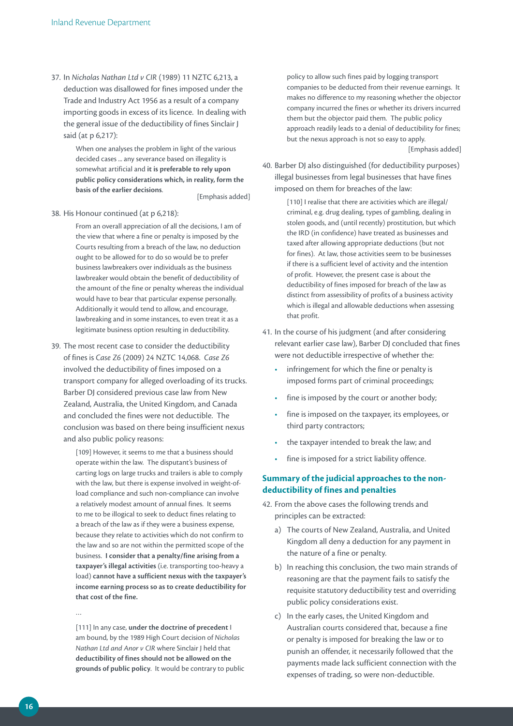37. In *Nicholas Nathan Ltd v CIR* (1989) 11 NZTC 6,213, a deduction was disallowed for fines imposed under the Trade and Industry Act 1956 as a result of a company importing goods in excess of its licence. In dealing with the general issue of the deductibility of fines Sinclair J said (at p 6,217):

> When one analyses the problem in light of the various decided cases ... any severance based on illegality is somewhat artificial and **it is preferable to rely upon public policy considerations which, in reality, form the basis of the earlier decisions**. [Emphasis added]

#### 38. His Honour continued (at p 6,218):

From an overall appreciation of all the decisions, I am of the view that where a fine or penalty is imposed by the Courts resulting from a breach of the law, no deduction ought to be allowed for to do so would be to prefer business lawbreakers over individuals as the business lawbreaker would obtain the benefit of deductibility of the amount of the fine or penalty whereas the individual would have to bear that particular expense personally. Additionally it would tend to allow, and encourage, lawbreaking and in some instances, to even treat it as a legitimate business option resulting in deductibility.

39. The most recent case to consider the deductibility of fines is *Case Z6* (2009) 24 NZTC 14,068. *Case Z6* involved the deductibility of fines imposed on a transport company for alleged overloading of its trucks. Barber DJ considered previous case law from New Zealand, Australia, the United Kingdom, and Canada and concluded the fines were not deductible. The conclusion was based on there being insufficient nexus and also public policy reasons:

> [109] However, it seems to me that a business should operate within the law. The disputant's business of carting logs on large trucks and trailers is able to comply with the law, but there is expense involved in weight-ofload compliance and such non-compliance can involve a relatively modest amount of annual fines. It seems to me to be illogical to seek to deduct fines relating to a breach of the law as if they were a business expense, because they relate to activities which do not confirm to the law and so are not within the permitted scope of the business. **I consider that a penalty/fine arising from a taxpayer's illegal activities** (i.e. transporting too-heavy a load) **cannot have a sufficient nexus with the taxpayer's income earning process so as to create deductibility for that cost of the fine.**

…

[111] In any case, **under the doctrine of precedent** I am bound, by the 1989 High Court decision of *Nicholas Nathan Ltd and Anor v CIR* where Sinclair J held that **deductibility of fines should not be allowed on the grounds of public policy**. It would be contrary to public policy to allow such fines paid by logging transport companies to be deducted from their revenue earnings. It makes no difference to my reasoning whether the objector company incurred the fines or whether its drivers incurred them but the objector paid them. The public policy approach readily leads to a denial of deductibility for fines; but the nexus approach is not so easy to apply.

[Emphasis added]

40. Barber DJ also distinguished (for deductibility purposes) illegal businesses from legal businesses that have fines imposed on them for breaches of the law:

> [110] I realise that there are activities which are illegal/ criminal, e.g. drug dealing, types of gambling, dealing in stolen goods, and (until recently) prostitution, but which the IRD (in confidence) have treated as businesses and taxed after allowing appropriate deductions (but not for fines). At law, those activities seem to be businesses if there is a sufficient level of activity and the intention of profit. However, the present case is about the deductibility of fines imposed for breach of the law as distinct from assessibility of profits of a business activity which is illegal and allowable deductions when assessing that profit.

- 41. In the course of his judgment (and after considering relevant earlier case law), Barber DJ concluded that fines were not deductible irrespective of whether the:
	- infringement for which the fine or penalty is imposed forms part of criminal proceedings;
	- fine is imposed by the court or another body;
	- fine is imposed on the taxpayer, its employees, or third party contractors;
	- the taxpayer intended to break the law; and
	- fine is imposed for a strict liability offence.

#### **Summary of the judicial approaches to the nondeductibility of fines and penalties**

- 42. From the above cases the following trends and principles can be extracted:
	- a) The courts of New Zealand, Australia, and United Kingdom all deny a deduction for any payment in the nature of a fine or penalty.
	- b) In reaching this conclusion, the two main strands of reasoning are that the payment fails to satisfy the requisite statutory deductibility test and overriding public policy considerations exist.
	- c) In the early cases, the United Kingdom and Australian courts considered that, because a fine or penalty is imposed for breaking the law or to punish an offender, it necessarily followed that the payments made lack sufficient connection with the expenses of trading, so were non-deductible.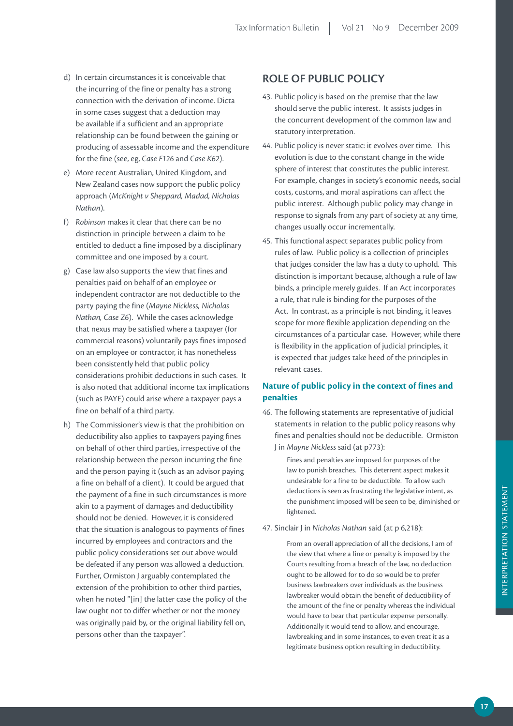- d) In certain circumstances it is conceivable that the incurring of the fine or penalty has a strong connection with the derivation of income. Dicta in some cases suggest that a deduction may be available if a sufficient and an appropriate relationship can be found between the gaining or producing of assessable income and the expenditure for the fine (see, eg, *Case F126* and *Case K62*).
- e) More recent Australian, United Kingdom, and New Zealand cases now support the public policy approach (*McKnight v Sheppard, Madad, Nicholas Nathan*).
- f) *Robinson* makes it clear that there can be no distinction in principle between a claim to be entitled to deduct a fine imposed by a disciplinary committee and one imposed by a court.
- g) Case law also supports the view that fines and penalties paid on behalf of an employee or independent contractor are not deductible to the party paying the fine (*Mayne Nickless, Nicholas Nathan, Case Z6*). While the cases acknowledge that nexus may be satisfied where a taxpayer (for commercial reasons) voluntarily pays fines imposed on an employee or contractor, it has nonetheless been consistently held that public policy considerations prohibit deductions in such cases. It is also noted that additional income tax implications (such as PAYE) could arise where a taxpayer pays a fine on behalf of a third party.
- h) The Commissioner's view is that the prohibition on deductibility also applies to taxpayers paying fines on behalf of other third parties, irrespective of the relationship between the person incurring the fine and the person paying it (such as an advisor paying a fine on behalf of a client). It could be argued that the payment of a fine in such circumstances is more akin to a payment of damages and deductibility should not be denied. However, it is considered that the situation is analogous to payments of fines incurred by employees and contractors and the public policy considerations set out above would be defeated if any person was allowed a deduction. Further, Ormiston J arguably contemplated the extension of the prohibition to other third parties, when he noted "[in] the latter case the policy of the law ought not to differ whether or not the money was originally paid by, or the original liability fell on, persons other than the taxpayer".

### **ROLE OF PUBLIC POLICY**

- 43. Public policy is based on the premise that the law should serve the public interest. It assists judges in the concurrent development of the common law and statutory interpretation.
- 44. Public policy is never static: it evolves over time. This evolution is due to the constant change in the wide sphere of interest that constitutes the public interest. For example, changes in society's economic needs, social costs, customs, and moral aspirations can affect the public interest. Although public policy may change in response to signals from any part of society at any time, changes usually occur incrementally.
- 45. This functional aspect separates public policy from rules of law. Public policy is a collection of principles that judges consider the law has a duty to uphold. This distinction is important because, although a rule of law binds, a principle merely guides. If an Act incorporates a rule, that rule is binding for the purposes of the Act. In contrast, as a principle is not binding, it leaves scope for more flexible application depending on the circumstances of a particular case. However, while there is flexibility in the application of judicial principles, it is expected that judges take heed of the principles in relevant cases.

#### **Nature of public policy in the context of fines and penalties**

46. The following statements are representative of judicial statements in relation to the public policy reasons why fines and penalties should not be deductible. Ormiston J in *Mayne Nickless* said (at p773):

> Fines and penalties are imposed for purposes of the law to punish breaches. This deterrent aspect makes it undesirable for a fine to be deductible. To allow such deductions is seen as frustrating the legislative intent, as the punishment imposed will be seen to be, diminished or lightened.

#### 47. Sinclair J in *Nicholas Nathan* said (at p 6,218):

From an overall appreciation of all the decisions, I am of the view that where a fine or penalty is imposed by the Courts resulting from a breach of the law, no deduction ought to be allowed for to do so would be to prefer business lawbreakers over individuals as the business lawbreaker would obtain the benefit of deductibility of the amount of the fine or penalty whereas the individual would have to bear that particular expense personally. Additionally it would tend to allow, and encourage, lawbreaking and in some instances, to even treat it as a legitimate business option resulting in deductibility.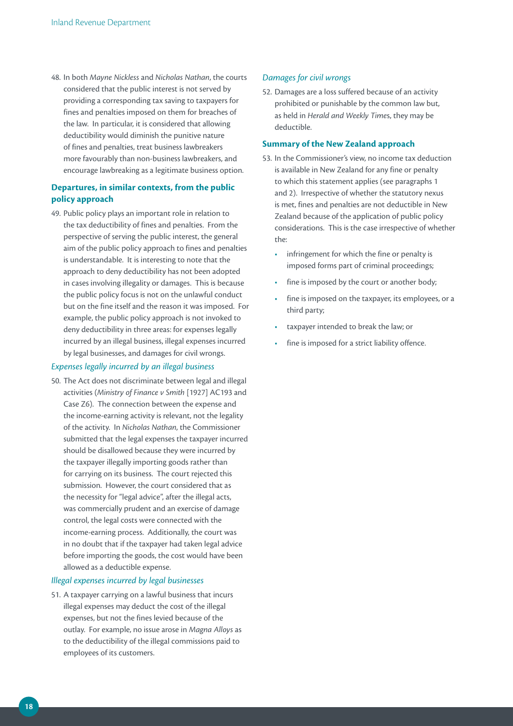48. In both *Mayne Nickless* and *Nicholas Nathan*, the courts considered that the public interest is not served by providing a corresponding tax saving to taxpayers for fines and penalties imposed on them for breaches of the law. In particular, it is considered that allowing deductibility would diminish the punitive nature of fines and penalties, treat business lawbreakers more favourably than non-business lawbreakers, and encourage lawbreaking as a legitimate business option.

#### **Departures, in similar contexts, from the public policy approach**

49. Public policy plays an important role in relation to the tax deductibility of fines and penalties. From the perspective of serving the public interest, the general aim of the public policy approach to fines and penalties is understandable. It is interesting to note that the approach to deny deductibility has not been adopted in cases involving illegality or damages. This is because the public policy focus is not on the unlawful conduct but on the fine itself and the reason it was imposed. For example, the public policy approach is not invoked to deny deductibility in three areas: for expenses legally incurred by an illegal business, illegal expenses incurred by legal businesses, and damages for civil wrongs.

#### *Expenses legally incurred by an illegal business*

50. The Act does not discriminate between legal and illegal activities (*Ministry of Finance v Smith* [1927] AC193 and Case Z6). The connection between the expense and the income-earning activity is relevant, not the legality of the activity. In *Nicholas Nathan*, the Commissioner submitted that the legal expenses the taxpayer incurred should be disallowed because they were incurred by the taxpayer illegally importing goods rather than for carrying on its business. The court rejected this submission. However, the court considered that as the necessity for "legal advice", after the illegal acts, was commercially prudent and an exercise of damage control, the legal costs were connected with the income-earning process. Additionally, the court was in no doubt that if the taxpayer had taken legal advice before importing the goods, the cost would have been allowed as a deductible expense.

#### *Illegal expenses incurred by legal businesses*

51. A taxpayer carrying on a lawful business that incurs illegal expenses may deduct the cost of the illegal expenses, but not the fines levied because of the outlay. For example, no issue arose in *Magna Alloys* as to the deductibility of the illegal commissions paid to employees of its customers.

#### *Damages for civil wrongs*

52. Damages are a loss suffered because of an activity prohibited or punishable by the common law but, as held in *Herald and Weekly Time*s, they may be deductible.

#### **Summary of the New Zealand approach**

- 53. In the Commissioner's view, no income tax deduction is available in New Zealand for any fine or penalty to which this statement applies (see paragraphs 1 and 2). Irrespective of whether the statutory nexus is met, fines and penalties are not deductible in New Zealand because of the application of public policy considerations. This is the case irrespective of whether the:
	- infringement for which the fine or penalty is imposed forms part of criminal proceedings;
	- fine is imposed by the court or another body;
	- fine is imposed on the taxpayer, its employees, or a third party;
	- taxpayer intended to break the law; or
	- fine is imposed for a strict liability offence.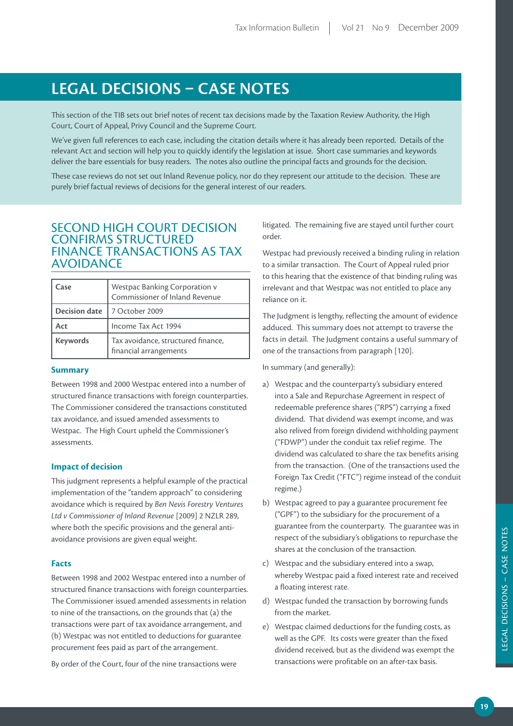# **LEGAL DECISIONS – CASE NOTES**

This section of the TIB sets out brief notes of recent tax decisions made by the Taxation Review Authority, the High Court, Court of Appeal, Privy Council and the Supreme Court.

We've given full references to each case, including the citation details where it has already been reported. Details of the relevant Act and section will help you to quickly identify the legislation at issue. Short case summaries and keywords deliver the bare essentials for busy readers. The notes also outline the principal facts and grounds for the decision.

These case reviews do not set out Inland Revenue policy, nor do they represent our attitude to the decision. These are purely brief factual reviews of decisions for the general interest of our readers.

## SECOND HIGH COURT DECISION CONFIRMS STRUCTURED FINANCE TRANSACTIONS AS TAX AVOIDANCE

| Case                 | Westpac Banking Corporation v<br>Commissioner of Inland Revenue |
|----------------------|-----------------------------------------------------------------|
| <b>Decision date</b> | 7 October 2009                                                  |
| Act                  | Income Tax Act 1994                                             |
| <b>Keywords</b>      | Tax avoidance, structured finance,<br>financial arrangements    |

#### **Summary**

Between 1998 and 2000 Westpac entered into a number of structured finance transactions with foreign counterparties. The Commissioner considered the transactions constituted tax avoidance, and issued amended assessments to Westpac. The High Court upheld the Commissioner's assessments.

#### **Impact of decision**

This judgment represents a helpful example of the practical implementation of the "tandem approach" to considering avoidance which is required by *Ben Nevis Forestry Ventures Ltd v Commissioner of Inland Revenue* [2009] 2 NZLR 289, where both the specific provisions and the general antiavoidance provisions are given equal weight.

#### **Facts**

Between 1998 and 2002 Westpac entered into a number of structured finance transactions with foreign counterparties. The Commissioner issued amended assessments in relation to nine of the transactions, on the grounds that (a) the transactions were part of tax avoidance arrangement, and (b) Westpac was not entitled to deductions for guarantee procurement fees paid as part of the arrangement.

By order of the Court, four of the nine transactions were

litigated. The remaining five are stayed until further court order.

Westpac had previously received a binding ruling in relation to a similar transaction. The Court of Appeal ruled prior to this hearing that the existence of that binding ruling was irrelevant and that Westpac was not entitled to place any reliance on it.

The Judgment is lengthy, reflecting the amount of evidence adduced. This summary does not attempt to traverse the facts in detail. The Judgment contains a useful summary of one of the transactions from paragraph [120].

In summary (and generally):

- a) Westpac and the counterparty's subsidiary entered into a Sale and Repurchase Agreement in respect of redeemable preference shares ("RPS") carrying a fixed dividend. That dividend was exempt income, and was also relived from foreign dividend withholding payment ("FDWP") under the conduit tax relief regime. The dividend was calculated to share the tax benefits arising from the transaction. (One of the transactions used the Foreign Tax Credit ("FTC") regime instead of the conduit regime.)
- b) Westpac agreed to pay a guarantee procurement fee ("GPF") to the subsidiary for the procurement of a guarantee from the counterparty. The guarantee was in respect of the subsidiary's obligations to repurchase the shares at the conclusion of the transaction.
- c) Westpac and the subsidiary entered into a swap, whereby Westpac paid a fixed interest rate and received a floating interest rate.
- d) Westpac funded the transaction by borrowing funds from the market.
- e) Westpac claimed deductions for the funding costs, as well as the GPF. Its costs were greater than the fixed dividend received, but as the dividend was exempt the transactions were profitable on an after-tax basis.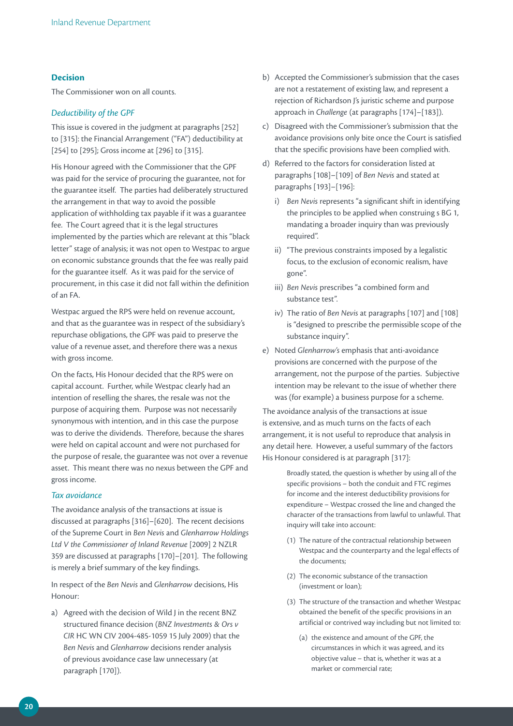#### **Decision**

The Commissioner won on all counts.

#### *Deductibility of the GPF*

This issue is covered in the judgment at paragraphs [252] to [315]: the Financial Arrangement ("FA") deductibility at [254] to [295]; Gross income at [296] to [315].

His Honour agreed with the Commissioner that the GPF was paid for the service of procuring the guarantee, not for the guarantee itself. The parties had deliberately structured the arrangement in that way to avoid the possible application of withholding tax payable if it was a guarantee fee. The Court agreed that it is the legal structures implemented by the parties which are relevant at this "black letter" stage of analysis; it was not open to Westpac to argue on economic substance grounds that the fee was really paid for the guarantee itself. As it was paid for the service of procurement, in this case it did not fall within the definition of an FA.

Westpac argued the RPS were held on revenue account, and that as the guarantee was in respect of the subsidiary's repurchase obligations, the GPF was paid to preserve the value of a revenue asset, and therefore there was a nexus with gross income.

On the facts, His Honour decided that the RPS were on capital account. Further, while Westpac clearly had an intention of reselling the shares, the resale was not the purpose of acquiring them. Purpose was not necessarily synonymous with intention, and in this case the purpose was to derive the dividends. Therefore, because the shares were held on capital account and were not purchased for the purpose of resale, the guarantee was not over a revenue asset. This meant there was no nexus between the GPF and gross income.

#### *Tax avoidance*

The avoidance analysis of the transactions at issue is discussed at paragraphs [316]–[620]. The recent decisions of the Supreme Court in *Ben Nevis* and *Glenharrow Holdings Ltd V the Commissioner of Inland Revenue* [2009] 2 NZLR 359 are discussed at paragraphs [170]–[201]. The following is merely a brief summary of the key findings.

In respect of the *Ben Nevis* and *Glenharrow* decisions, His Honour:

a) Agreed with the decision of Wild J in the recent BNZ structured finance decision (*BNZ Investments & Ors v CIR* HC WN CIV 2004-485-1059 15 July 2009) that the *Ben Nevis* and *Glenharrow* decisions render analysis of previous avoidance case law unnecessary (at paragraph [170]).

- b) Accepted the Commissioner's submission that the cases are not a restatement of existing law, and represent a rejection of Richardson J's juristic scheme and purpose approach in *Challenge* (at paragraphs [174]–[183]).
- c) Disagreed with the Commissioner's submission that the avoidance provisions only bite once the Court is satisfied that the specific provisions have been complied with.
- d) Referred to the factors for consideration listed at paragraphs [108]–[109] of *Ben Nevis* and stated at paragraphs [193]–[196]:
	- i) *Ben Nevis* represents "a significant shift in identifying the principles to be applied when construing s BG 1, mandating a broader inquiry than was previously required".
	- ii) "The previous constraints imposed by a legalistic focus, to the exclusion of economic realism, have gone".
	- iii) *Ben Nevis* prescribes "a combined form and substance test".
	- iv) The ratio of *Ben Nevis* at paragraphs [107] and [108] is "designed to prescribe the permissible scope of the substance inquiry".
- e) Noted *Glenharrow's* emphasis that anti-avoidance provisions are concerned with the purpose of the arrangement, not the purpose of the parties. Subjective intention may be relevant to the issue of whether there was (for example) a business purpose for a scheme.

The avoidance analysis of the transactions at issue is extensive, and as much turns on the facts of each arrangement, it is not useful to reproduce that analysis in any detail here. However, a useful summary of the factors His Honour considered is at paragraph [317]:

> Broadly stated, the question is whether by using all of the specific provisions – both the conduit and FTC regimes for income and the interest deductibility provisions for expenditure – Westpac crossed the line and changed the character of the transactions from lawful to unlawful. That inquiry will take into account:

- (1) The nature of the contractual relationship between Westpac and the counterparty and the legal effects of the documents;
- (2) The economic substance of the transaction (investment or loan);
- (3) The structure of the transaction and whether Westpac obtained the benefit of the specific provisions in an artificial or contrived way including but not limited to:
	- (a) the existence and amount of the GPF, the circumstances in which it was agreed, and its objective value – that is, whether it was at a market or commercial rate;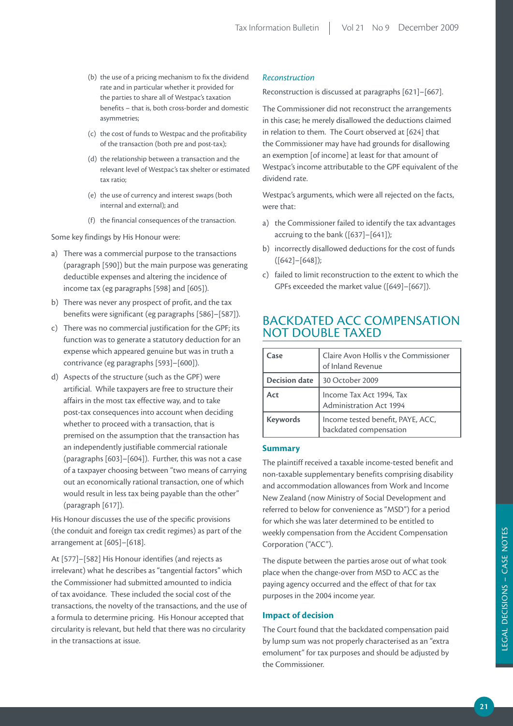- (b) the use of a pricing mechanism to fix the dividend rate and in particular whether it provided for the parties to share all of Westpac's taxation benefits – that is, both cross-border and domestic asymmetries;
- (c) the cost of funds to Westpac and the profitability of the transaction (both pre and post-tax);
- (d) the relationship between a transaction and the relevant level of Westpac's tax shelter or estimated tax ratio;
- (e) the use of currency and interest swaps (both internal and external); and
- (f) the financial consequences of the transaction.

Some key findings by His Honour were:

- a) There was a commercial purpose to the transactions (paragraph [590]) but the main purpose was generating deductible expenses and altering the incidence of income tax (eg paragraphs [598] and [605]).
- b) There was never any prospect of profit, and the tax benefits were significant (eg paragraphs [586]–[587]).
- c) There was no commercial justification for the GPF; its function was to generate a statutory deduction for an expense which appeared genuine but was in truth a contrivance (eg paragraphs [593]–[600]).
- d) Aspects of the structure (such as the GPF) were artificial. While taxpayers are free to structure their affairs in the most tax effective way, and to take post-tax consequences into account when deciding whether to proceed with a transaction, that is premised on the assumption that the transaction has an independently justifiable commercial rationale (paragraphs [603]–[604]). Further, this was not a case of a taxpayer choosing between "two means of carrying out an economically rational transaction, one of which would result in less tax being payable than the other" (paragraph [617]).

His Honour discusses the use of the specific provisions (the conduit and foreign tax credit regimes) as part of the arrangement at [605]–[618].

At [577]–[582] His Honour identifies (and rejects as irrelevant) what he describes as "tangential factors" which the Commissioner had submitted amounted to indicia of tax avoidance. These included the social cost of the transactions, the novelty of the transactions, and the use of a formula to determine pricing. His Honour accepted that circularity is relevant, but held that there was no circularity in the transactions at issue.

#### *Reconstruction*

Reconstruction is discussed at paragraphs [621]–[667].

The Commissioner did not reconstruct the arrangements in this case; he merely disallowed the deductions claimed in relation to them. The Court observed at [624] that the Commissioner may have had grounds for disallowing an exemption [of income] at least for that amount of Westpac's income attributable to the GPF equivalent of the dividend rate.

Westpac's arguments, which were all rejected on the facts, were that:

- a) the Commissioner failed to identify the tax advantages accruing to the bank ([637]–[641]);
- b) incorrectly disallowed deductions for the cost of funds ([642]–[648]);
- c) failed to limit reconstruction to the extent to which the GPFs exceeded the market value ([649]–[667]).

# BACKDATED ACC COMPENSATION NOT DOUBLE TAXED

| Case                 | Claire Avon Hollis v the Commissioner<br>of Inland Revenue  |
|----------------------|-------------------------------------------------------------|
| <b>Decision date</b> | 30 October 2009                                             |
| Act                  | Income Tax Act 1994, Tax<br>Administration Act 1994         |
| <b>Keywords</b>      | Income tested benefit, PAYE, ACC,<br>backdated compensation |

#### **Summary**

The plaintiff received a taxable income-tested benefit and non-taxable supplementary benefits comprising disability and accommodation allowances from Work and Income New Zealand (now Ministry of Social Development and referred to below for convenience as "MSD") for a period for which she was later determined to be entitled to weekly compensation from the Accident Compensation Corporation ("ACC").

The dispute between the parties arose out of what took place when the change-over from MSD to ACC as the paying agency occurred and the effect of that for tax purposes in the 2004 income year.

#### **Impact of decision**

The Court found that the backdated compensation paid by lump sum was not properly characterised as an "extra emolument" for tax purposes and should be adjusted by the Commissioner.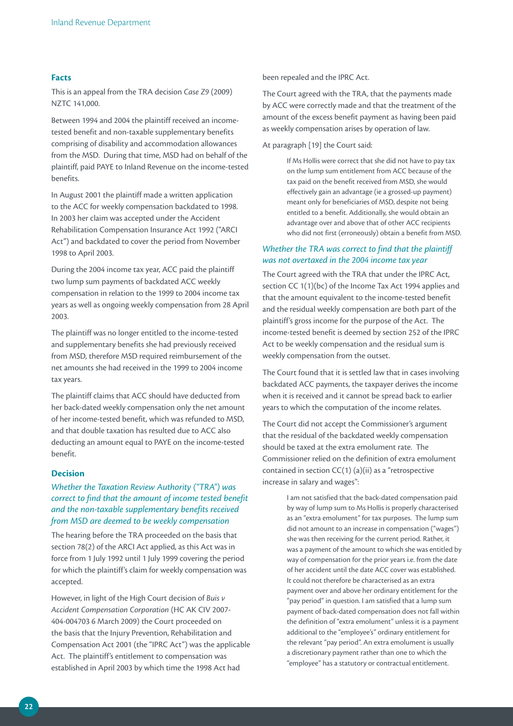#### **Facts**

This is an appeal from the TRA decision *Case Z9* (2009) NZTC 141,000.

Between 1994 and 2004 the plaintiff received an incometested benefit and non-taxable supplementary benefits comprising of disability and accommodation allowances from the MSD. During that time, MSD had on behalf of the plaintiff, paid PAYE to Inland Revenue on the income-tested benefits.

In August 2001 the plaintiff made a written application to the ACC for weekly compensation backdated to 1998. In 2003 her claim was accepted under the Accident Rehabilitation Compensation Insurance Act 1992 ("ARCI Act") and backdated to cover the period from November 1998 to April 2003.

During the 2004 income tax year, ACC paid the plaintiff two lump sum payments of backdated ACC weekly compensation in relation to the 1999 to 2004 income tax years as well as ongoing weekly compensation from 28 April 2003.

The plaintiff was no longer entitled to the income-tested and supplementary benefits she had previously received from MSD, therefore MSD required reimbursement of the net amounts she had received in the 1999 to 2004 income tax years.

The plaintiff claims that ACC should have deducted from her back-dated weekly compensation only the net amount of her income-tested benefit, which was refunded to MSD, and that double taxation has resulted due to ACC also deducting an amount equal to PAYE on the income-tested benefit.

#### **Decision**

#### *Whether the Taxation Review Authority ("TRA") was correct to find that the amount of income tested benefit and the non-taxable supplementary benefits received from MSD are deemed to be weekly compensation*

The hearing before the TRA proceeded on the basis that section 78(2) of the ARCI Act applied, as this Act was in force from 1 July 1992 until 1 July 1999 covering the period for which the plaintiff's claim for weekly compensation was accepted.

However, in light of the High Court decision of *Buis v Accident Compensation Corporation* (HC AK CIV 2007- 404-004703 6 March 2009) the Court proceeded on the basis that the Injury Prevention, Rehabilitation and Compensation Act 2001 (the "IPRC Act") was the applicable Act. The plaintiff's entitlement to compensation was established in April 2003 by which time the 1998 Act had

been repealed and the IPRC Act.

The Court agreed with the TRA, that the payments made by ACC were correctly made and that the treatment of the amount of the excess benefit payment as having been paid as weekly compensation arises by operation of law.

At paragraph [19] the Court said:

If Ms Hollis were correct that she did not have to pay tax on the lump sum entitlement from ACC because of the tax paid on the benefit received from MSD, she would effectively gain an advantage (ie a grossed-up payment) meant only for beneficiaries of MSD, despite not being entitled to a benefit. Additionally, she would obtain an advantage over and above that of other ACC recipients who did not first (erroneously) obtain a benefit from MSD.

#### *Whether the TRA was correct to find that the plaintiff was not overtaxed in the 2004 income tax year*

The Court agreed with the TRA that under the IPRC Act, section CC 1(1)(bc) of the Income Tax Act 1994 applies and that the amount equivalent to the income-tested benefit and the residual weekly compensation are both part of the plaintiff's gross income for the purpose of the Act. The income-tested benefit is deemed by section 252 of the IPRC Act to be weekly compensation and the residual sum is weekly compensation from the outset.

The Court found that it is settled law that in cases involving backdated ACC payments, the taxpayer derives the income when it is received and it cannot be spread back to earlier years to which the computation of the income relates.

The Court did not accept the Commissioner's argument that the residual of the backdated weekly compensation should be taxed at the extra emolument rate. The Commissioner relied on the definition of extra emolument contained in section  $CC(1)$  (a)(ii) as a "retrospective increase in salary and wages":

> I am not satisfied that the back-dated compensation paid by way of lump sum to Ms Hollis is properly characterised as an "extra emolument" for tax purposes. The lump sum did not amount to an increase in compensation ("wages") she was then receiving for the current period. Rather, it was a payment of the amount to which she was entitled by way of compensation for the prior years i.e. from the date of her accident until the date ACC cover was established. It could not therefore be characterised as an extra payment over and above her ordinary entitlement for the "pay period" in question. I am satisfied that a lump sum payment of back-dated compensation does not fall within the definition of "extra emolument" unless it is a payment additional to the "employee's" ordinary entitlement for the relevant "pay period". An extra emolument is usually a discretionary payment rather than one to which the "employee" has a statutory or contractual entitlement.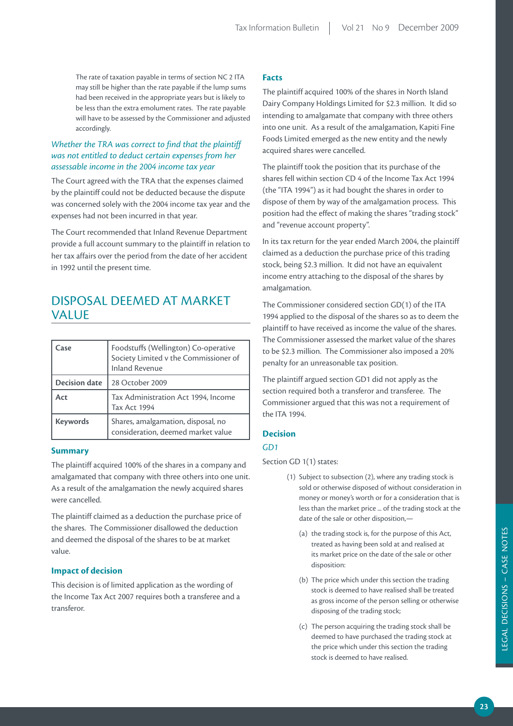The rate of taxation payable in terms of section NC 2 ITA may still be higher than the rate payable if the lump sums had been received in the appropriate years but is likely to be less than the extra emolument rates. The rate payable will have to be assessed by the Commissioner and adjusted accordingly.

#### *Whether the TRA was correct to find that the plaintiff was not entitled to deduct certain expenses from her assessable income in the 2004 income tax year*

The Court agreed with the TRA that the expenses claimed by the plaintiff could not be deducted because the dispute was concerned solely with the 2004 income tax year and the expenses had not been incurred in that year.

The Court recommended that Inland Revenue Department provide a full account summary to the plaintiff in relation to her tax affairs over the period from the date of her accident in 1992 until the present time.

# Disposal deemed at market value

| Case                 | Foodstuffs (Wellington) Co-operative<br>Society Limited v the Commissioner of<br><b>Inland Revenue</b> |
|----------------------|--------------------------------------------------------------------------------------------------------|
| <b>Decision date</b> | 28 October 2009                                                                                        |
| Act                  | Tax Administration Act 1994, Income<br>Tax Act 1994                                                    |
| <b>Keywords</b>      | Shares, amalgamation, disposal, no<br>consideration, deemed market value                               |

#### **Summary**

The plaintiff acquired 100% of the shares in a company and amalgamated that company with three others into one unit. As a result of the amalgamation the newly acquired shares were cancelled.

The plaintiff claimed as a deduction the purchase price of the shares. The Commissioner disallowed the deduction and deemed the disposal of the shares to be at market value.

#### **Impact of decision**

This decision is of limited application as the wording of the Income Tax Act 2007 requires both a transferee and a transferor.

#### **Facts**

The plaintiff acquired 100% of the shares in North Island Dairy Company Holdings Limited for \$2.3 million. It did so intending to amalgamate that company with three others into one unit. As a result of the amalgamation, Kapiti Fine Foods Limited emerged as the new entity and the newly acquired shares were cancelled.

The plaintiff took the position that its purchase of the shares fell within section CD 4 of the Income Tax Act 1994 (the "ITA 1994") as it had bought the shares in order to dispose of them by way of the amalgamation process. This position had the effect of making the shares "trading stock" and "revenue account property".

In its tax return for the year ended March 2004, the plaintiff claimed as a deduction the purchase price of this trading stock, being \$2.3 million. It did not have an equivalent income entry attaching to the disposal of the shares by amalgamation.

The Commissioner considered section GD(1) of the ITA 1994 applied to the disposal of the shares so as to deem the plaintiff to have received as income the value of the shares. The Commissioner assessed the market value of the shares to be \$2.3 million. The Commissioner also imposed a 20% penalty for an unreasonable tax position.

The plaintiff argued section GD1 did not apply as the section required both a transferor and transferee. The Commissioner argued that this was not a requirement of the ITA 1994.

#### **Decision**

#### *GD1*

Section GD 1(1) states:

- (1) Subject to subsection (2), where any trading stock is sold or otherwise disposed of without consideration in money or money's worth or for a consideration that is less than the market price ... of the trading stock at the date of the sale or other disposition,—
	- (a) the trading stock is, for the purpose of this Act, treated as having been sold at and realised at its market price on the date of the sale or other disposition:
	- (b) The price which under this section the trading stock is deemed to have realised shall be treated as gross income of the person selling or otherwise disposing of the trading stock;
	- (c) The person acquiring the trading stock shall be deemed to have purchased the trading stock at the price which under this section the trading stock is deemed to have realised.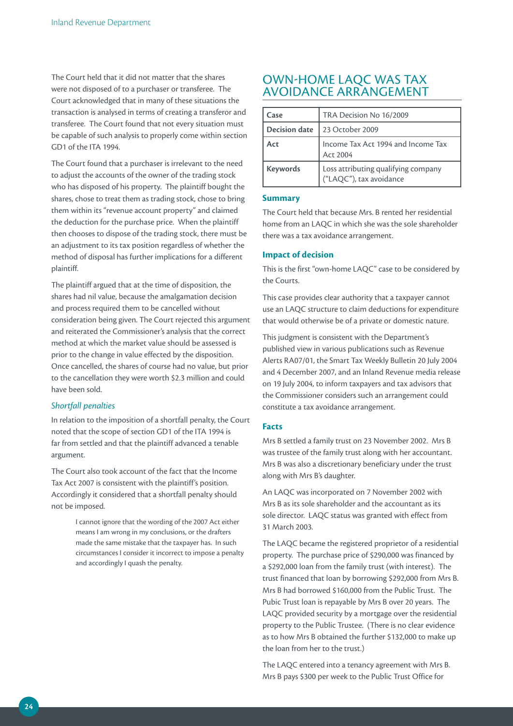The Court held that it did not matter that the shares were not disposed of to a purchaser or transferee. The Court acknowledged that in many of these situations the transaction is analysed in terms of creating a transferor and transferee. The Court found that not every situation must be capable of such analysis to properly come within section GD1 of the ITA 1994.

The Court found that a purchaser is irrelevant to the need to adjust the accounts of the owner of the trading stock who has disposed of his property. The plaintiff bought the shares, chose to treat them as trading stock, chose to bring them within its "revenue account property" and claimed the deduction for the purchase price. When the plaintiff then chooses to dispose of the trading stock, there must be an adjustment to its tax position regardless of whether the method of disposal has further implications for a different plaintiff.

The plaintiff argued that at the time of disposition, the shares had nil value, because the amalgamation decision and process required them to be cancelled without consideration being given. The Court rejected this argument and reiterated the Commissioner's analysis that the correct method at which the market value should be assessed is prior to the change in value effected by the disposition. Once cancelled, the shares of course had no value, but prior to the cancellation they were worth \$2.3 million and could have been sold.

#### *Shortfall penalties*

In relation to the imposition of a shortfall penalty, the Court noted that the scope of section GD1 of the ITA 1994 is far from settled and that the plaintiff advanced a tenable argument.

The Court also took account of the fact that the Income Tax Act 2007 is consistent with the plaintiff's position. Accordingly it considered that a shortfall penalty should not be imposed.

> I cannot ignore that the wording of the 2007 Act either means I am wrong in my conclusions, or the drafters made the same mistake that the taxpayer has. In such circumstances I consider it incorrect to impose a penalty and accordingly I quash the penalty.

# OWN-HOME LAQC WAS TAX AVOIDANCE ARRANGEMENT

| Case                 | TRA Decision No 16/2009                                        |
|----------------------|----------------------------------------------------------------|
| <b>Decision date</b> | 23 October 2009                                                |
| Act                  | Income Tax Act 1994 and Income Tax<br>Act 2004                 |
| <b>Keywords</b>      | Loss attributing qualifying company<br>("LAQC"), tax avoidance |

#### **Summary**

The Court held that because Mrs. B rented her residential home from an LAQC in which she was the sole shareholder there was a tax avoidance arrangement.

#### **Impact of decision**

This is the first "own-home LAQC" case to be considered by the Courts.

This case provides clear authority that a taxpayer cannot use an LAQC structure to claim deductions for expenditure that would otherwise be of a private or domestic nature.

This judgment is consistent with the Department's published view in various publications such as Revenue Alerts RA07/01, the Smart Tax Weekly Bulletin 20 July 2004 and 4 December 2007, and an Inland Revenue media release on 19 July 2004, to inform taxpayers and tax advisors that the Commissioner considers such an arrangement could constitute a tax avoidance arrangement.

#### **Facts**

Mrs B settled a family trust on 23 November 2002. Mrs B was trustee of the family trust along with her accountant. Mrs B was also a discretionary beneficiary under the trust along with Mrs B's daughter.

An LAQC was incorporated on 7 November 2002 with Mrs B as its sole shareholder and the accountant as its sole director. LAQC status was granted with effect from 31 March 2003.

The LAQC became the registered proprietor of a residential property. The purchase price of \$290,000 was financed by a \$292,000 loan from the family trust (with interest). The trust financed that loan by borrowing \$292,000 from Mrs B. Mrs B had borrowed \$160,000 from the Public Trust. The Pubic Trust loan is repayable by Mrs B over 20 years. The LAQC provided security by a mortgage over the residential property to the Public Trustee. (There is no clear evidence as to how Mrs B obtained the further \$132,000 to make up the loan from her to the trust.)

The LAQC entered into a tenancy agreement with Mrs B. Mrs B pays \$300 per week to the Public Trust Office for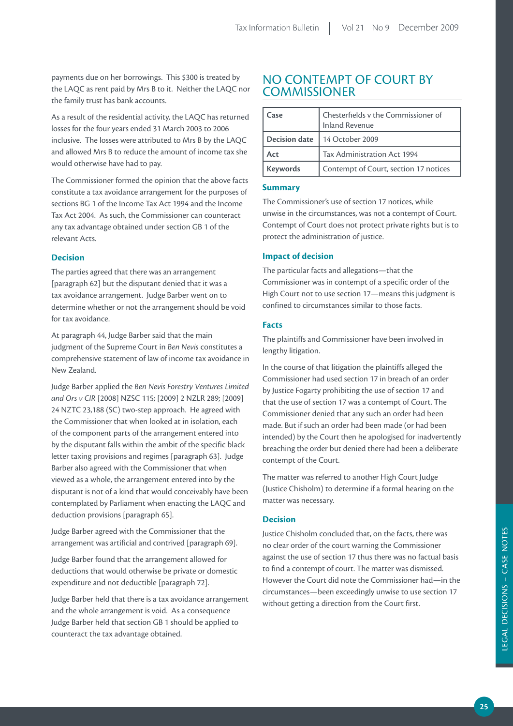payments due on her borrowings. This \$300 is treated by the LAQC as rent paid by Mrs B to it. Neither the LAQC nor the family trust has bank accounts.

As a result of the residential activity, the LAQC has returned losses for the four years ended 31 March 2003 to 2006 inclusive. The losses were attributed to Mrs B by the LAQC and allowed Mrs B to reduce the amount of income tax she would otherwise have had to pay.

The Commissioner formed the opinion that the above facts constitute a tax avoidance arrangement for the purposes of sections BG 1 of the Income Tax Act 1994 and the Income Tax Act 2004. As such, the Commissioner can counteract any tax advantage obtained under section GB 1 of the relevant Acts.

#### **Decision**

The parties agreed that there was an arrangement [paragraph 62] but the disputant denied that it was a tax avoidance arrangement. Judge Barber went on to determine whether or not the arrangement should be void for tax avoidance.

At paragraph 44, Judge Barber said that the main judgment of the Supreme Court in *Ben Nevis* constitutes a comprehensive statement of law of income tax avoidance in New Zealand.

Judge Barber applied the *Ben Nevis Forestry Ventures Limited and Ors v CIR* [2008] NZSC 115; [2009] 2 NZLR 289; [2009] 24 NZTC 23,188 (SC) two-step approach. He agreed with the Commissioner that when looked at in isolation, each of the component parts of the arrangement entered into by the disputant falls within the ambit of the specific black letter taxing provisions and regimes [paragraph 63]. Judge Barber also agreed with the Commissioner that when viewed as a whole, the arrangement entered into by the disputant is not of a kind that would conceivably have been contemplated by Parliament when enacting the LAQC and deduction provisions [paragraph 65].

Judge Barber agreed with the Commissioner that the arrangement was artificial and contrived [paragraph 69].

Judge Barber found that the arrangement allowed for deductions that would otherwise be private or domestic expenditure and not deductible [paragraph 72].

Judge Barber held that there is a tax avoidance arrangement and the whole arrangement is void. As a consequence Judge Barber held that section GB 1 should be applied to counteract the tax advantage obtained.

## NO CONTEMPT OF COURT BY **COMMISSIONER**

| Case            | Chesterfields v the Commissioner of<br><b>Inland Revenue</b> |
|-----------------|--------------------------------------------------------------|
| Decision date   | 14 October 2009                                              |
| Act             | Tax Administration Act 1994                                  |
| <b>Keywords</b> | Contempt of Court, section 17 notices                        |

#### **Summary**

The Commissioner's use of section 17 notices, while unwise in the circumstances, was not a contempt of Court. Contempt of Court does not protect private rights but is to protect the administration of justice.

#### **Impact of decision**

The particular facts and allegations—that the Commissioner was in contempt of a specific order of the High Court not to use section 17—means this judgment is confined to circumstances similar to those facts.

#### **Facts**

The plaintiffs and Commissioner have been involved in lengthy litigation.

In the course of that litigation the plaintiffs alleged the Commissioner had used section 17 in breach of an order by Justice Fogarty prohibiting the use of section 17 and that the use of section 17 was a contempt of Court. The Commissioner denied that any such an order had been made. But if such an order had been made (or had been intended) by the Court then he apologised for inadvertently breaching the order but denied there had been a deliberate contempt of the Court.

The matter was referred to another High Court Judge (Justice Chisholm) to determine if a formal hearing on the matter was necessary.

#### **Decision**

Justice Chisholm concluded that, on the facts, there was no clear order of the court warning the Commissioner against the use of section 17 thus there was no factual basis to find a contempt of court. The matter was dismissed. However the Court did note the Commissioner had—in the circumstances—been exceedingly unwise to use section 17 without getting a direction from the Court first.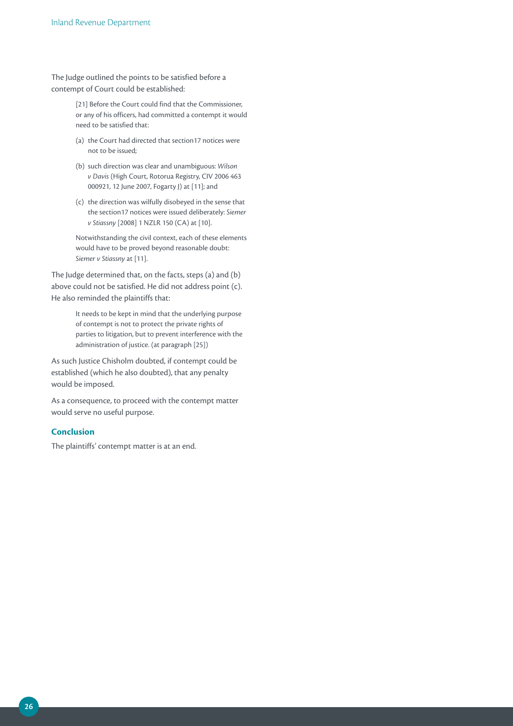The Judge outlined the points to be satisfied before a contempt of Court could be established:

> [21] Before the Court could find that the Commissioner, or any of his officers, had committed a contempt it would need to be satisfied that:

- (a) the Court had directed that section17 notices were not to be issued;
- (b) such direction was clear and unambiguous: *Wilson v Davis* (High Court, Rotorua Registry, CIV 2006 463 000921, 12 June 2007, Fogarty J) at [11]; and
- (c) the direction was wilfully disobeyed in the sense that the section17 notices were issued deliberately: *Siemer v Stiassny* [2008] 1 NZLR 150 (CA) at [10].

Notwithstanding the civil context, each of these elements would have to be proved beyond reasonable doubt: *Siemer v Stiassny* at [11].

The Judge determined that, on the facts, steps (a) and (b) above could not be satisfied. He did not address point (c). He also reminded the plaintiffs that:

> It needs to be kept in mind that the underlying purpose of contempt is not to protect the private rights of parties to litigation, but to prevent interference with the administration of justice. (at paragraph [25])

As such Justice Chisholm doubted, if contempt could be established (which he also doubted), that any penalty would be imposed.

As a consequence, to proceed with the contempt matter would serve no useful purpose.

#### **Conclusion**

The plaintiffs' contempt matter is at an end.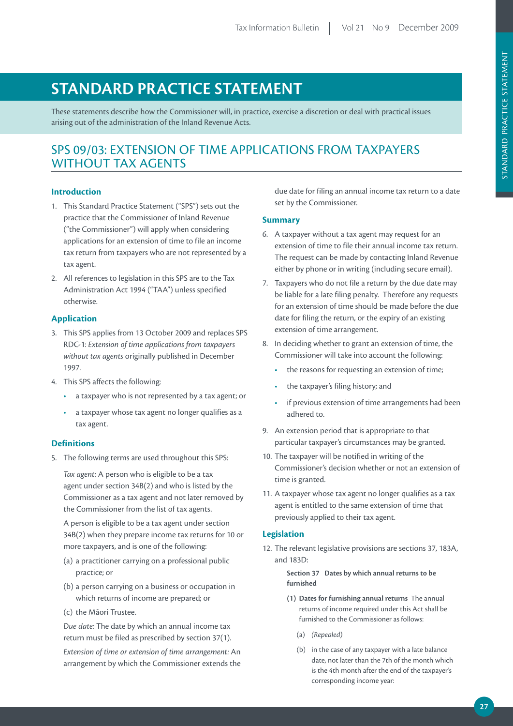# **STANDARD PRACTICE STATEMENT**

These statements describe how the Commissioner will, in practice, exercise a discretion or deal with practical issues arising out of the administration of the Inland Revenue Acts.

# SPS 09/03: EXTENSION OF TIME APPLICATIONS FROM TAXPAYERS WITHOUT TAX AGENTS

#### **Introduction**

- 1. This Standard Practice Statement ("SPS") sets out the practice that the Commissioner of Inland Revenue ("the Commissioner") will apply when considering applications for an extension of time to file an income tax return from taxpayers who are not represented by a tax agent.
- 2. All references to legislation in this SPS are to the Tax Administration Act 1994 ("TAA") unless specified otherwise.

#### **Application**

- 3. This SPS applies from 13 October 2009 and replaces SPS RDC-1: *Extension of time applications from taxpayers without tax agents* originally published in December 1997.
- 4. This SPS affects the following:
	- • a taxpayer who is not represented by a tax agent; or
	- • a taxpayer whose tax agent no longer qualifies as a tax agent.

#### **Definitions**

5. The following terms are used throughout this SPS:

*Tax agent:* A person who is eligible to be a tax agent under section 34B(2) and who is listed by the Commissioner as a tax agent and not later removed by the Commissioner from the list of tax agents.

A person is eligible to be a tax agent under section 34B(2) when they prepare income tax returns for 10 or more taxpayers, and is one of the following:

- (a) a practitioner carrying on a professional public practice; or
- (b) a person carrying on a business or occupation in which returns of income are prepared; or
- (c) the Māori Trustee.

*Due date:* The date by which an annual income tax return must be filed as prescribed by section 37(1).

*Extension of time or extension of time arrangement:* An arrangement by which the Commissioner extends the

due date for filing an annual income tax return to a date set by the Commissioner.

#### **Summary**

- 6. A taxpayer without a tax agent may request for an extension of time to file their annual income tax return. The request can be made by contacting Inland Revenue either by phone or in writing (including secure email).
- 7. Taxpayers who do not file a return by the due date may be liable for a late filing penalty. Therefore any requests for an extension of time should be made before the due date for filing the return, or the expiry of an existing extension of time arrangement.
- 8. In deciding whether to grant an extension of time, the Commissioner will take into account the following:
	- the reasons for requesting an extension of time;
	- the taxpayer's filing history; and
	- if previous extension of time arrangements had been adhered to.
- 9. An extension period that is appropriate to that particular taxpayer's circumstances may be granted.
- 10. The taxpayer will be notified in writing of the Commissioner's decision whether or not an extension of time is granted.
- 11. A taxpayer whose tax agent no longer qualifies as a tax agent is entitled to the same extension of time that previously applied to their tax agent.

#### **Legislation**

12. The relevant legislative provisions are sections 37, 183A, and 183D:

> **Section 37 Dates by which annual returns to be furnished**

- **(1) Dates for furnishing annual returns** The annual returns of income required under this Act shall be furnished to the Commissioner as follows:
	- (a) *(Repealed)*
	- (b) in the case of any taxpayer with a late balance date, not later than the 7th of the month which is the 4th month after the end of the taxpayer's corresponding income year: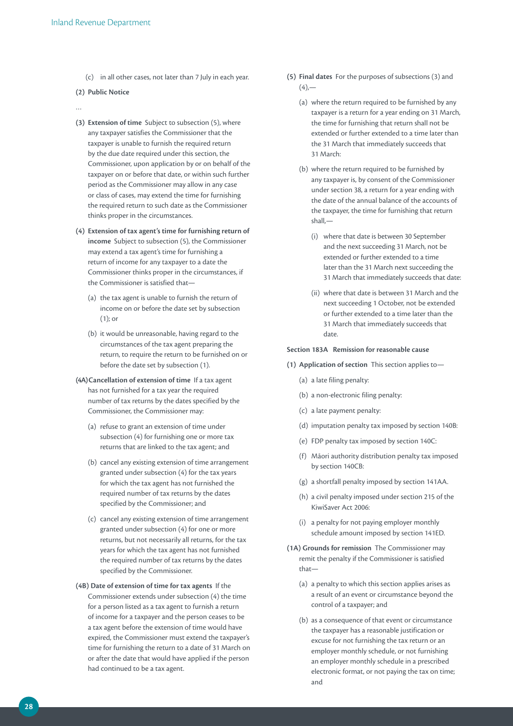(c) in all other cases, not later than 7 July in each year.

#### **(2) Public Notice**

- …
- **(3) Extension of time** Subject to subsection (5), where any taxpayer satisfies the Commissioner that the taxpayer is unable to furnish the required return by the due date required under this section, the Commissioner, upon application by or on behalf of the taxpayer on or before that date, or within such further period as the Commissioner may allow in any case or class of cases, may extend the time for furnishing the required return to such date as the Commissioner thinks proper in the circumstances.
- **(4) Extension of tax agent's time for furnishing return of income** Subject to subsection (5), the Commissioner may extend a tax agent's time for furnishing a return of income for any taxpayer to a date the Commissioner thinks proper in the circumstances, if the Commissioner is satisfied that—
	- (a) the tax agent is unable to furnish the return of income on or before the date set by subsection (1); or
	- (b) it would be unreasonable, having regard to the circumstances of the tax agent preparing the return, to require the return to be furnished on or before the date set by subsection (1).
- **(4A)Cancellation of extension of time** If a tax agent has not furnished for a tax year the required number of tax returns by the dates specified by the Commissioner, the Commissioner may:
	- (a) refuse to grant an extension of time under subsection (4) for furnishing one or more tax returns that are linked to the tax agent; and
	- (b) cancel any existing extension of time arrangement granted under subsection (4) for the tax years for which the tax agent has not furnished the required number of tax returns by the dates specified by the Commissioner; and
	- (c) cancel any existing extension of time arrangement granted under subsection (4) for one or more returns, but not necessarily all returns, for the tax years for which the tax agent has not furnished the required number of tax returns by the dates specified by the Commissioner.
- **(4B) Date of extension of time for tax agents** If the Commissioner extends under subsection (4) the time for a person listed as a tax agent to furnish a return of income for a taxpayer and the person ceases to be a tax agent before the extension of time would have expired, the Commissioner must extend the taxpayer's time for furnishing the return to a date of 31 March on or after the date that would have applied if the person had continued to be a tax agent.
- **(5) Final dates** For the purposes of subsections (3) and  $(4)$ 
	- (a) where the return required to be furnished by any taxpayer is a return for a year ending on 31 March, the time for furnishing that return shall not be extended or further extended to a time later than the 31 March that immediately succeeds that 31 March:
	- (b) where the return required to be furnished by any taxpayer is, by consent of the Commissioner under section 38, a return for a year ending with the date of the annual balance of the accounts of the taxpayer, the time for furnishing that return shall,—
		- (i) where that date is between 30 September and the next succeeding 31 March, not be extended or further extended to a time later than the 31 March next succeeding the 31 March that immediately succeeds that date:
		- (ii) where that date is between 31 March and the next succeeding 1 October, not be extended or further extended to a time later than the 31 March that immediately succeeds that date.

#### **Section 183A Remission for reasonable cause**

- **(1) Application of section** This section applies to—
	- (a) a late filing penalty:
	- (b) a non-electronic filing penalty:
	- (c) a late payment penalty:
	- (d) imputation penalty tax imposed by section 140B:
	- (e) FDP penalty tax imposed by section 140C:
	- (f) Māori authority distribution penalty tax imposed by section 140CB:
	- (g) a shortfall penalty imposed by section 141AA.
	- (h) a civil penalty imposed under section 215 of the KiwiSaver Act 2006:
	- (i) a penalty for not paying employer monthly schedule amount imposed by section 141ED.
- **(1A) Grounds for remission** The Commissioner may remit the penalty if the Commissioner is satisfied that—
	- (a) a penalty to which this section applies arises as a result of an event or circumstance beyond the control of a taxpayer; and
	- (b) as a consequence of that event or circumstance the taxpayer has a reasonable justification or excuse for not furnishing the tax return or an employer monthly schedule, or not furnishing an employer monthly schedule in a prescribed electronic format, or not paying the tax on time; and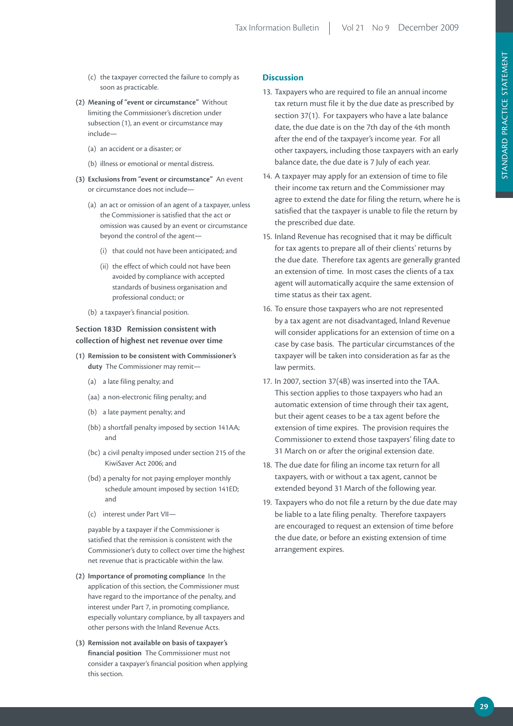- (c) the taxpayer corrected the failure to comply as soon as practicable.
- **(2) Meaning of "event or circumstance"** Without limiting the Commissioner's discretion under subsection (1), an event or circumstance may include—
	- (a) an accident or a disaster; or
	- (b) illness or emotional or mental distress.
- **(3) Exclusions from "event or circumstance"** An event or circumstance does not include—
	- (a) an act or omission of an agent of a taxpayer, unless the Commissioner is satisfied that the act or omission was caused by an event or circumstance beyond the control of the agent—
		- (i) that could not have been anticipated; and
		- (ii) the effect of which could not have been avoided by compliance with accepted standards of business organisation and professional conduct; or
	- (b) a taxpayer's financial position.

#### **Section 183D Remission consistent with collection of highest net revenue over time**

- **(1) Remission to be consistent with Commissioner's duty** The Commissioner may remit—
	- (a) a late filing penalty; and
	- (aa) a non-electronic filing penalty; and
	- (b) a late payment penalty; and
	- (bb) a shortfall penalty imposed by section 141AA; and
	- (bc) a civil penalty imposed under section 215 of the KiwiSaver Act 2006; and
	- (bd) a penalty for not paying employer monthly schedule amount imposed by section 141ED; and
	- (c) interest under Part VII—

 payable by a taxpayer if the Commissioner is satisfied that the remission is consistent with the Commissioner's duty to collect over time the highest net revenue that is practicable within the law.

- **(2) Importance of promoting compliance** In the application of this section, the Commissioner must have regard to the importance of the penalty, and interest under Part 7, in promoting compliance, especially voluntary compliance, by all taxpayers and other persons with the Inland Revenue Acts.
- **(3) Remission not available on basis of taxpayer's financial position** The Commissioner must not consider a taxpayer's financial position when applying this section.

#### **Discussion**

- 13. Taxpayers who are required to file an annual income tax return must file it by the due date as prescribed by section 37(1). For taxpayers who have a late balance date, the due date is on the 7th day of the 4th month after the end of the taxpayer's income year. For all other taxpayers, including those taxpayers with an early balance date, the due date is 7 July of each year.
- 14. A taxpayer may apply for an extension of time to file their income tax return and the Commissioner may agree to extend the date for filing the return, where he is satisfied that the taxpayer is unable to file the return by the prescribed due date.
- 15. Inland Revenue has recognised that it may be difficult for tax agents to prepare all of their clients' returns by the due date. Therefore tax agents are generally granted an extension of time. In most cases the clients of a tax agent will automatically acquire the same extension of time status as their tax agent.
- 16. To ensure those taxpayers who are not represented by a tax agent are not disadvantaged, Inland Revenue will consider applications for an extension of time on a case by case basis. The particular circumstances of the taxpayer will be taken into consideration as far as the law permits.
- 17. In 2007, section 37(4B) was inserted into the TAA. This section applies to those taxpayers who had an automatic extension of time through their tax agent, but their agent ceases to be a tax agent before the extension of time expires. The provision requires the Commissioner to extend those taxpayers' filing date to 31 March on or after the original extension date.
- 18. The due date for filing an income tax return for all taxpayers, with or without a tax agent, cannot be extended beyond 31 March of the following year.
- 19. Taxpayers who do not file a return by the due date may be liable to a late filing penalty. Therefore taxpayers are encouraged to request an extension of time before the due date, or before an existing extension of time arrangement expires.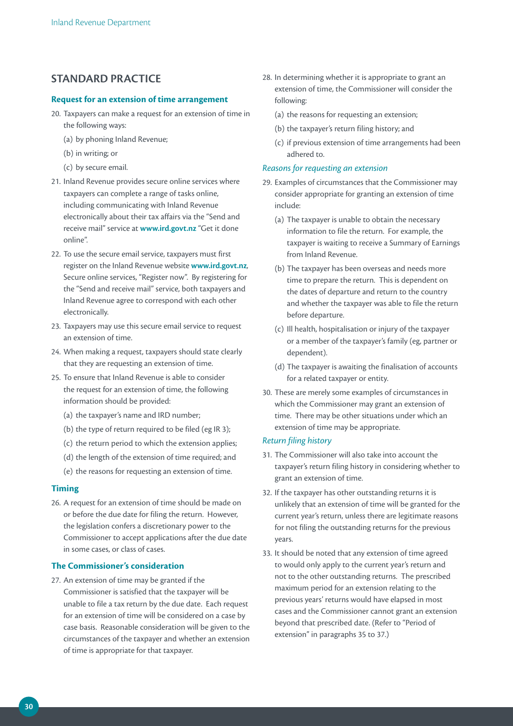## **STANDARD PRACTICE**

#### **Request for an extension of time arrangement**

- 20. Taxpayers can make a request for an extension of time in the following ways:
	- (a) by phoning Inland Revenue;
	- (b) in writing; or
	- (c) by secure email.
- 21. Inland Revenue provides secure online services where taxpayers can complete a range of tasks online, including communicating with Inland Revenue electronically about their tax affairs via the "Send and receive mail" service at **www.ird.govt.nz** "Get it done online".
- 22. To use the secure email service, taxpayers must first register on the Inland Revenue website **www.ird.govt.nz**, Secure online services, "Register now". By registering for the "Send and receive mail" service, both taxpayers and Inland Revenue agree to correspond with each other electronically.
- 23. Taxpayers may use this secure email service to request an extension of time.
- 24. When making a request, taxpayers should state clearly that they are requesting an extension of time.
- 25. To ensure that Inland Revenue is able to consider the request for an extension of time, the following information should be provided:
	- (a) the taxpayer's name and IRD number;
	- (b) the type of return required to be filed (eg IR 3);
	- (c) the return period to which the extension applies;
	- (d) the length of the extension of time required; and
	- (e) the reasons for requesting an extension of time.

#### **Timing**

26. A request for an extension of time should be made on or before the due date for filing the return. However, the legislation confers a discretionary power to the Commissioner to accept applications after the due date in some cases, or class of cases.

#### **The Commissioner's consideration**

27. An extension of time may be granted if the Commissioner is satisfied that the taxpayer will be unable to file a tax return by the due date. Each request for an extension of time will be considered on a case by case basis. Reasonable consideration will be given to the circumstances of the taxpayer and whether an extension of time is appropriate for that taxpayer.

- 28. In determining whether it is appropriate to grant an extension of time, the Commissioner will consider the following:
	- (a) the reasons for requesting an extension;
	- (b) the taxpayer's return filing history; and
	- (c) if previous extension of time arrangements had been adhered to.

#### *Reasons for requesting an extension*

- 29. Examples of circumstances that the Commissioner may consider appropriate for granting an extension of time include:
	- (a) The taxpayer is unable to obtain the necessary information to file the return. For example, the taxpayer is waiting to receive a Summary of Earnings from Inland Revenue.
	- (b) The taxpayer has been overseas and needs more time to prepare the return. This is dependent on the dates of departure and return to the country and whether the taxpayer was able to file the return before departure.
	- (c) Ill health, hospitalisation or injury of the taxpayer or a member of the taxpayer's family (eg, partner or dependent).
	- (d) The taxpayer is awaiting the finalisation of accounts for a related taxpayer or entity.
- 30. These are merely some examples of circumstances in which the Commissioner may grant an extension of time. There may be other situations under which an extension of time may be appropriate.

#### *Return filing history*

- 31. The Commissioner will also take into account the taxpayer's return filing history in considering whether to grant an extension of time.
- 32. If the taxpayer has other outstanding returns it is unlikely that an extension of time will be granted for the current year's return, unless there are legitimate reasons for not filing the outstanding returns for the previous years.
- 33. It should be noted that any extension of time agreed to would only apply to the current year's return and not to the other outstanding returns. The prescribed maximum period for an extension relating to the previous years' returns would have elapsed in most cases and the Commissioner cannot grant an extension beyond that prescribed date. (Refer to "Period of extension" in paragraphs 35 to 37.)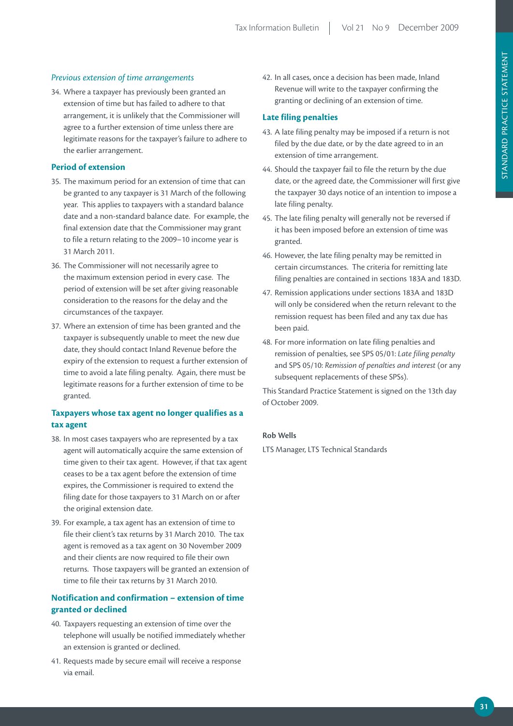#### *Previous extension of time arrangements*

34. Where a taxpayer has previously been granted an extension of time but has failed to adhere to that arrangement, it is unlikely that the Commissioner will agree to a further extension of time unless there are legitimate reasons for the taxpayer's failure to adhere to the earlier arrangement.

#### **Period of extension**

- 35. The maximum period for an extension of time that can be granted to any taxpayer is 31 March of the following year. This applies to taxpayers with a standard balance date and a non-standard balance date. For example, the final extension date that the Commissioner may grant to file a return relating to the 2009–10 income year is 31 March 2011.
- 36. The Commissioner will not necessarily agree to the maximum extension period in every case. The period of extension will be set after giving reasonable consideration to the reasons for the delay and the circumstances of the taxpayer.
- 37. Where an extension of time has been granted and the taxpayer is subsequently unable to meet the new due date, they should contact Inland Revenue before the expiry of the extension to request a further extension of time to avoid a late filing penalty. Again, there must be legitimate reasons for a further extension of time to be granted.

#### **Taxpayers whose tax agent no longer qualifies as a tax agent**

- 38. In most cases taxpayers who are represented by a tax agent will automatically acquire the same extension of time given to their tax agent. However, if that tax agent ceases to be a tax agent before the extension of time expires, the Commissioner is required to extend the filing date for those taxpayers to 31 March on or after the original extension date.
- 39. For example, a tax agent has an extension of time to file their client's tax returns by 31 March 2010. The tax agent is removed as a tax agent on 30 November 2009 and their clients are now required to file their own returns. Those taxpayers will be granted an extension of time to file their tax returns by 31 March 2010.

#### **Notification and confirmation – extension of time granted or declined**

- 40. Taxpayers requesting an extension of time over the telephone will usually be notified immediately whether an extension is granted or declined.
- 41. Requests made by secure email will receive a response via email.

42. In all cases, once a decision has been made, Inland Revenue will write to the taxpayer confirming the granting or declining of an extension of time.

#### **Late filing penalties**

- 43. A late filing penalty may be imposed if a return is not filed by the due date, or by the date agreed to in an extension of time arrangement.
- 44. Should the taxpayer fail to file the return by the due date, or the agreed date, the Commissioner will first give the taxpayer 30 days notice of an intention to impose a late filing penalty.
- 45. The late filing penalty will generally not be reversed if it has been imposed before an extension of time was granted.
- 46. However, the late filing penalty may be remitted in certain circumstances. The criteria for remitting late filing penalties are contained in sections 183A and 183D.
- 47. Remission applications under sections 183A and 183D will only be considered when the return relevant to the remission request has been filed and any tax due has been paid.
- 48. For more information on late filing penalties and remission of penalties, see SPS 05/01: *Late filing penalty* and SPS 05/10: *Remission of penalties and interest* (or any subsequent replacements of these SPSs).

This Standard Practice Statement is signed on the 13th day of October 2009.

#### **Rob Wells**

LTS Manager, LTS Technical Standards